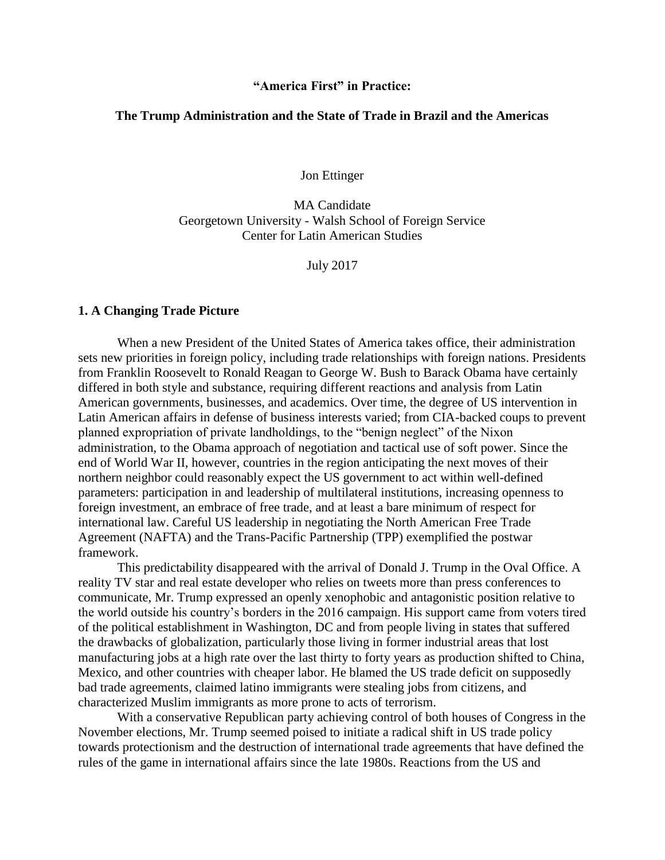## **"America First" in Practice:**

## **The Trump Administration and the State of Trade in Brazil and the Americas**

Jon Ettinger

MA Candidate Georgetown University - Walsh School of Foreign Service Center for Latin American Studies

July 2017

## **1. A Changing Trade Picture**

When a new President of the United States of America takes office, their administration sets new priorities in foreign policy, including trade relationships with foreign nations. Presidents from Franklin Roosevelt to Ronald Reagan to George W. Bush to Barack Obama have certainly differed in both style and substance, requiring different reactions and analysis from Latin American governments, businesses, and academics. Over time, the degree of US intervention in Latin American affairs in defense of business interests varied; from CIA-backed coups to prevent planned expropriation of private landholdings, to the "benign neglect" of the Nixon administration, to the Obama approach of negotiation and tactical use of soft power. Since the end of World War II, however, countries in the region anticipating the next moves of their northern neighbor could reasonably expect the US government to act within well-defined parameters: participation in and leadership of multilateral institutions, increasing openness to foreign investment, an embrace of free trade, and at least a bare minimum of respect for international law. Careful US leadership in negotiating the North American Free Trade Agreement (NAFTA) and the Trans-Pacific Partnership (TPP) exemplified the postwar framework.

This predictability disappeared with the arrival of Donald J. Trump in the Oval Office. A reality TV star and real estate developer who relies on tweets more than press conferences to communicate, Mr. Trump expressed an openly xenophobic and antagonistic position relative to the world outside his country's borders in the 2016 campaign. His support came from voters tired of the political establishment in Washington, DC and from people living in states that suffered the drawbacks of globalization, particularly those living in former industrial areas that lost manufacturing jobs at a high rate over the last thirty to forty years as production shifted to China, Mexico, and other countries with cheaper labor. He blamed the US trade deficit on supposedly bad trade agreements, claimed latino immigrants were stealing jobs from citizens, and characterized Muslim immigrants as more prone to acts of terrorism.

With a conservative Republican party achieving control of both houses of Congress in the November elections, Mr. Trump seemed poised to initiate a radical shift in US trade policy towards protectionism and the destruction of international trade agreements that have defined the rules of the game in international affairs since the late 1980s. Reactions from the US and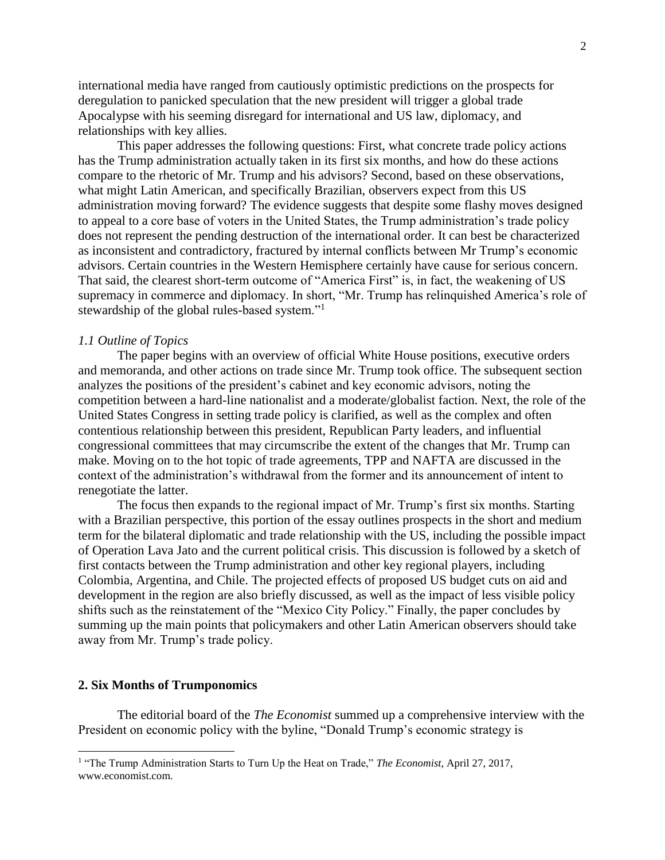international media have ranged from cautiously optimistic predictions on the prospects for deregulation to panicked speculation that the new president will trigger a global trade Apocalypse with his seeming disregard for international and US law, diplomacy, and relationships with key allies.

This paper addresses the following questions: First, what concrete trade policy actions has the Trump administration actually taken in its first six months, and how do these actions compare to the rhetoric of Mr. Trump and his advisors? Second, based on these observations, what might Latin American, and specifically Brazilian, observers expect from this US administration moving forward? The evidence suggests that despite some flashy moves designed to appeal to a core base of voters in the United States, the Trump administration's trade policy does not represent the pending destruction of the international order. It can best be characterized as inconsistent and contradictory, fractured by internal conflicts between Mr Trump's economic advisors. Certain countries in the Western Hemisphere certainly have cause for serious concern. That said, the clearest short-term outcome of "America First" is, in fact, the weakening of US supremacy in commerce and diplomacy. In short, "Mr. Trump has relinquished America's role of stewardship of the global rules-based system."<sup>1</sup>

## *1.1 Outline of Topics*

The paper begins with an overview of official White House positions, executive orders and memoranda, and other actions on trade since Mr. Trump took office. The subsequent section analyzes the positions of the president's cabinet and key economic advisors, noting the competition between a hard-line nationalist and a moderate/globalist faction. Next, the role of the United States Congress in setting trade policy is clarified, as well as the complex and often contentious relationship between this president, Republican Party leaders, and influential congressional committees that may circumscribe the extent of the changes that Mr. Trump can make. Moving on to the hot topic of trade agreements, TPP and NAFTA are discussed in the context of the administration's withdrawal from the former and its announcement of intent to renegotiate the latter.

The focus then expands to the regional impact of Mr. Trump's first six months. Starting with a Brazilian perspective, this portion of the essay outlines prospects in the short and medium term for the bilateral diplomatic and trade relationship with the US, including the possible impact of Operation Lava Jato and the current political crisis. This discussion is followed by a sketch of first contacts between the Trump administration and other key regional players, including Colombia, Argentina, and Chile. The projected effects of proposed US budget cuts on aid and development in the region are also briefly discussed, as well as the impact of less visible policy shifts such as the reinstatement of the "Mexico City Policy." Finally, the paper concludes by summing up the main points that policymakers and other Latin American observers should take away from Mr. Trump's trade policy.

#### **2. Six Months of Trumponomics**

The editorial board of the *The Economist* summed up a comprehensive interview with the President on economic policy with the byline, "Donald Trump's economic strategy is

<sup>&</sup>lt;sup>1</sup> "The Trump Administration Starts to Turn Up the Heat on Trade," *The Economist*, April 27, 2017, www.economist.com.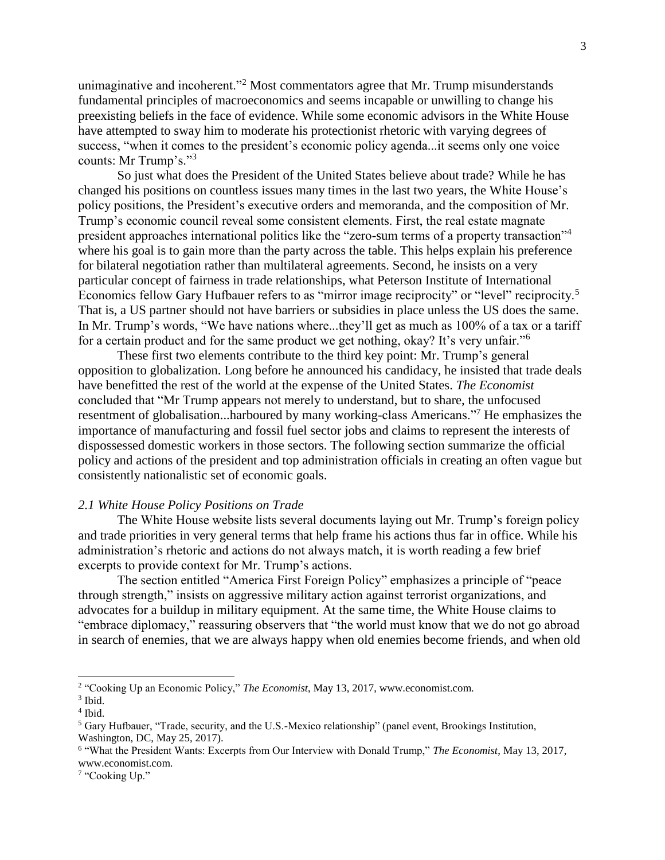unimaginative and incoherent."<sup>2</sup> Most commentators agree that Mr. Trump misunderstands fundamental principles of macroeconomics and seems incapable or unwilling to change his preexisting beliefs in the face of evidence. While some economic advisors in the White House have attempted to sway him to moderate his protectionist rhetoric with varying degrees of success, "when it comes to the president's economic policy agenda...it seems only one voice counts: Mr Trump's."<sup>3</sup>

So just what does the President of the United States believe about trade? While he has changed his positions on countless issues many times in the last two years, the White House's policy positions, the President's executive orders and memoranda, and the composition of Mr. Trump's economic council reveal some consistent elements. First, the real estate magnate president approaches international politics like the "zero-sum terms of a property transaction"<sup>4</sup> where his goal is to gain more than the party across the table. This helps explain his preference for bilateral negotiation rather than multilateral agreements. Second, he insists on a very particular concept of fairness in trade relationships, what Peterson Institute of International Economics fellow Gary Hufbauer refers to as "mirror image reciprocity" or "level" reciprocity.<sup>5</sup> That is, a US partner should not have barriers or subsidies in place unless the US does the same. In Mr. Trump's words, "We have nations where...they'll get as much as 100% of a tax or a tariff for a certain product and for the same product we get nothing, okay? It's very unfair."<sup>6</sup>

These first two elements contribute to the third key point: Mr. Trump's general opposition to globalization. Long before he announced his candidacy, he insisted that trade deals have benefitted the rest of the world at the expense of the United States. *The Economist*  concluded that "Mr Trump appears not merely to understand, but to share, the unfocused resentment of globalisation...harboured by many working-class Americans."<sup>7</sup> He emphasizes the importance of manufacturing and fossil fuel sector jobs and claims to represent the interests of dispossessed domestic workers in those sectors. The following section summarize the official policy and actions of the president and top administration officials in creating an often vague but consistently nationalistic set of economic goals.

## *2.1 White House Policy Positions on Trade*

The White House website lists several documents laying out Mr. Trump's foreign policy and trade priorities in very general terms that help frame his actions thus far in office. While his administration's rhetoric and actions do not always match, it is worth reading a few brief excerpts to provide context for Mr. Trump's actions.

The section entitled "America First Foreign Policy" emphasizes a principle of "peace through strength," insists on aggressive military action against terrorist organizations, and advocates for a buildup in military equipment. At the same time, the White House claims to "embrace diplomacy," reassuring observers that "the world must know that we do not go abroad in search of enemies, that we are always happy when old enemies become friends, and when old

<sup>&</sup>lt;sup>2</sup> "Cooking Up an Economic Policy," *The Economist*, May 13, 2017, www.economist.com.

<sup>3</sup> Ibid.

<sup>4</sup> Ibid.

<sup>5</sup> Gary Hufbauer, "Trade, security, and the U.S.-Mexico relationship" (panel event, Brookings Institution, Washington, DC, May 25, 2017).

<sup>6</sup> "What the President Wants: Excerpts from Our Interview with Donald Trump," *The Economist*, May 13, 2017, www.economist.com.

<sup>&</sup>lt;sup>7</sup> "Cooking Up."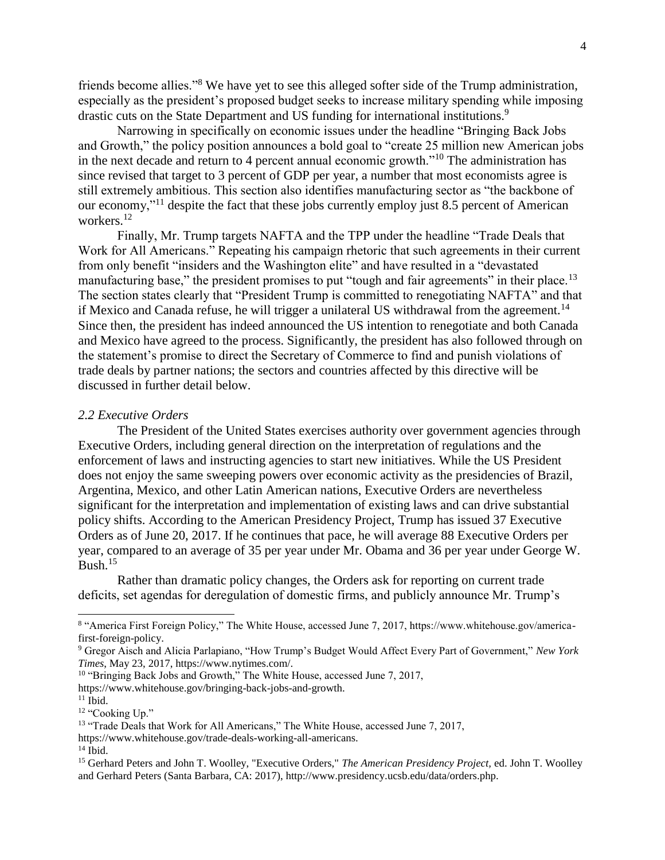friends become allies."<sup>8</sup> We have yet to see this alleged softer side of the Trump administration, especially as the president's proposed budget seeks to increase military spending while imposing drastic cuts on the State Department and US funding for international institutions.<sup>9</sup>

Narrowing in specifically on economic issues under the headline "Bringing Back Jobs and Growth," the policy position announces a bold goal to "create 25 million new American jobs in the next decade and return to 4 percent annual economic growth."<sup>10</sup> The administration has since revised that target to 3 percent of GDP per year, a number that most economists agree is still extremely ambitious. This section also identifies manufacturing sector as "the backbone of our economy,"<sup>11</sup> despite the fact that these jobs currently employ just 8.5 percent of American workers.<sup>12</sup>

Finally, Mr. Trump targets NAFTA and the TPP under the headline "Trade Deals that Work for All Americans." Repeating his campaign rhetoric that such agreements in their current from only benefit "insiders and the Washington elite" and have resulted in a "devastated manufacturing base," the president promises to put "tough and fair agreements" in their place.<sup>13</sup> The section states clearly that "President Trump is committed to renegotiating NAFTA" and that if Mexico and Canada refuse, he will trigger a unilateral US withdrawal from the agreement.<sup>14</sup> Since then, the president has indeed announced the US intention to renegotiate and both Canada and Mexico have agreed to the process. Significantly, the president has also followed through on the statement's promise to direct the Secretary of Commerce to find and punish violations of trade deals by partner nations; the sectors and countries affected by this directive will be discussed in further detail below.

#### *2.2 Executive Orders*

The President of the United States exercises authority over government agencies through Executive Orders, including general direction on the interpretation of regulations and the enforcement of laws and instructing agencies to start new initiatives. While the US President does not enjoy the same sweeping powers over economic activity as the presidencies of Brazil, Argentina, Mexico, and other Latin American nations, Executive Orders are nevertheless significant for the interpretation and implementation of existing laws and can drive substantial policy shifts. According to the American Presidency Project, Trump has issued 37 Executive Orders as of June 20, 2017. If he continues that pace, he will average 88 Executive Orders per year, compared to an average of 35 per year under Mr. Obama and 36 per year under George W.  $B$ ush.<sup>15</sup>

Rather than dramatic policy changes, the Orders ask for reporting on current trade deficits, set agendas for deregulation of domestic firms, and publicly announce Mr. Trump's

https://www.whitehouse.gov/bringing-back-jobs-and-growth.

<sup>8</sup> "America First Foreign Policy," The White House, accessed June 7, 2017, https://www.whitehouse.gov/americafirst-foreign-policy.

<sup>9</sup> Gregor Aisch and Alicia Parlapiano, "How Trump's Budget Would Affect Every Part of Government," *New York Times*, May 23, 2017, https://www.nytimes.com/.

<sup>&</sup>lt;sup>10</sup> "Bringing Back Jobs and Growth," The White House, accessed June 7, 2017,

 $11$  Ibid.

<sup>&</sup>lt;sup>12</sup> "Cooking Up."

<sup>&</sup>lt;sup>13</sup> "Trade Deals that Work for All Americans," The White House, accessed June 7, 2017,

https://www.whitehouse.gov/trade-deals-working-all-americans.

 $14$  Ibid.

<sup>15</sup> Gerhard Peters and John T. Woolley, "Executive Orders," *The American Presidency Project,* ed. John T. Woolley and Gerhard Peters (Santa Barbara, CA: 2017), http://www.presidency.ucsb.edu/data/orders.php.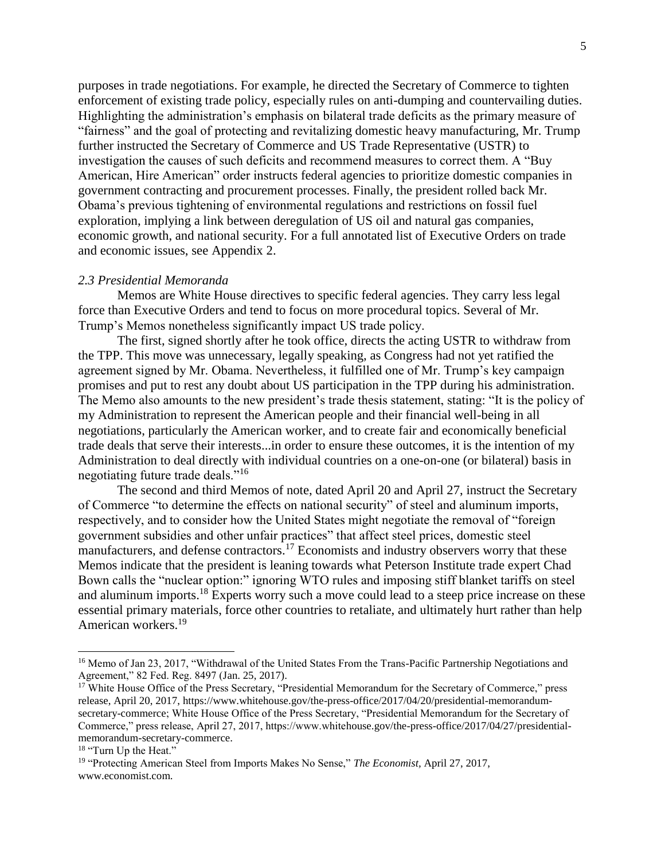purposes in trade negotiations. For example, he directed the Secretary of Commerce to tighten enforcement of existing trade policy, especially rules on anti-dumping and countervailing duties. Highlighting the administration's emphasis on bilateral trade deficits as the primary measure of "fairness" and the goal of protecting and revitalizing domestic heavy manufacturing, Mr. Trump further instructed the Secretary of Commerce and US Trade Representative (USTR) to investigation the causes of such deficits and recommend measures to correct them. A "Buy American, Hire American" order instructs federal agencies to prioritize domestic companies in government contracting and procurement processes. Finally, the president rolled back Mr. Obama's previous tightening of environmental regulations and restrictions on fossil fuel exploration, implying a link between deregulation of US oil and natural gas companies, economic growth, and national security. For a full annotated list of Executive Orders on trade and economic issues, see Appendix 2.

#### *2.3 Presidential Memoranda*

Memos are White House directives to specific federal agencies. They carry less legal force than Executive Orders and tend to focus on more procedural topics. Several of Mr. Trump's Memos nonetheless significantly impact US trade policy.

The first, signed shortly after he took office, directs the acting USTR to withdraw from the TPP. This move was unnecessary, legally speaking, as Congress had not yet ratified the agreement signed by Mr. Obama. Nevertheless, it fulfilled one of Mr. Trump's key campaign promises and put to rest any doubt about US participation in the TPP during his administration. The Memo also amounts to the new president's trade thesis statement, stating: "It is the policy of my Administration to represent the American people and their financial well-being in all negotiations, particularly the American worker, and to create fair and economically beneficial trade deals that serve their interests...in order to ensure these outcomes, it is the intention of my Administration to deal directly with individual countries on a one-on-one (or bilateral) basis in negotiating future trade deals."<sup>16</sup>

The second and third Memos of note, dated April 20 and April 27, instruct the Secretary of Commerce "to determine the effects on national security" of steel and aluminum imports, respectively, and to consider how the United States might negotiate the removal of "foreign government subsidies and other unfair practices" that affect steel prices, domestic steel manufacturers, and defense contractors.<sup>17</sup> Economists and industry observers worry that these Memos indicate that the president is leaning towards what Peterson Institute trade expert Chad Bown calls the "nuclear option:" ignoring WTO rules and imposing stiff blanket tariffs on steel and aluminum imports.<sup>18</sup> Experts worry such a move could lead to a steep price increase on these essential primary materials, force other countries to retaliate, and ultimately hurt rather than help American workers.<sup>19</sup>

<sup>&</sup>lt;sup>16</sup> Memo of Jan 23, 2017, "Withdrawal of the United States From the Trans-Pacific Partnership Negotiations and Agreement," 82 Fed. Reg. 8497 (Jan. 25, 2017).

<sup>&</sup>lt;sup>17</sup> White House Office of the Press Secretary, "Presidential Memorandum for the Secretary of Commerce," press release, April 20, 2017, [https://www.whitehouse.gov/the-press-office/2017/04/20/presidential-memorandum](https://www.whitehouse.gov/the-press-office/2017/04/20/presidential-memorandum-secretary-commerce)[secretary-commerce;](https://www.whitehouse.gov/the-press-office/2017/04/20/presidential-memorandum-secretary-commerce) White House Office of the Press Secretary, "Presidential Memorandum for the Secretary of Commerce," press release, April 27, 2017, https://www.whitehouse.gov/the-press-office/2017/04/27/presidentialmemorandum-secretary-commerce.

<sup>&</sup>lt;sup>18</sup> "Turn Up the Heat."

<sup>19</sup> "Protecting American Steel from Imports Makes No Sense," *The Economist,* April 27, 2017, www.economist.com.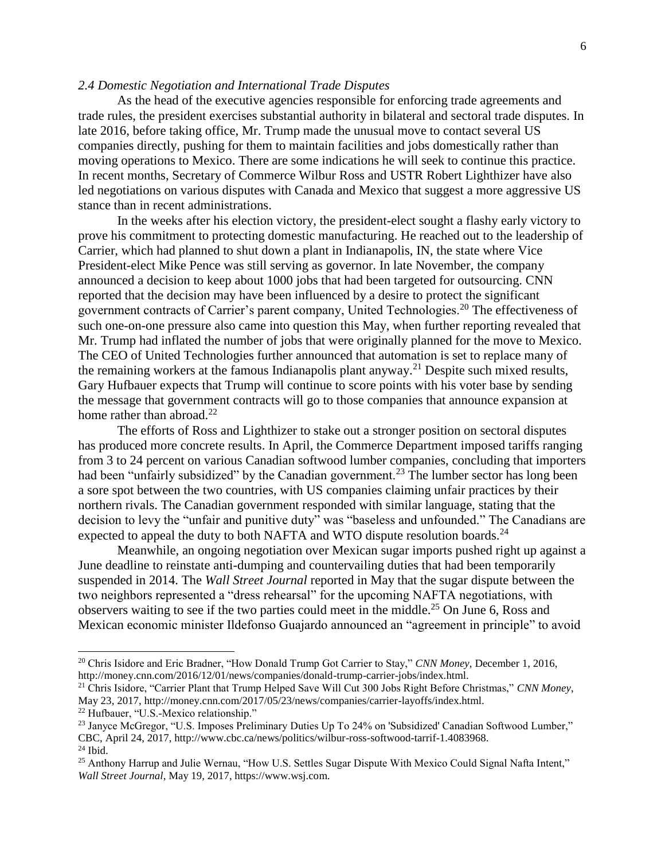## *2.4 Domestic Negotiation and International Trade Disputes*

As the head of the executive agencies responsible for enforcing trade agreements and trade rules, the president exercises substantial authority in bilateral and sectoral trade disputes. In late 2016, before taking office, Mr. Trump made the unusual move to contact several US companies directly, pushing for them to maintain facilities and jobs domestically rather than moving operations to Mexico. There are some indications he will seek to continue this practice. In recent months, Secretary of Commerce Wilbur Ross and USTR Robert Lighthizer have also led negotiations on various disputes with Canada and Mexico that suggest a more aggressive US stance than in recent administrations.

In the weeks after his election victory, the president-elect sought a flashy early victory to prove his commitment to protecting domestic manufacturing. He reached out to the leadership of Carrier, which had planned to shut down a plant in Indianapolis, IN, the state where Vice President-elect Mike Pence was still serving as governor. In late November, the company announced a decision to keep about 1000 jobs that had been targeted for outsourcing. CNN reported that the decision may have been influenced by a desire to protect the significant government contracts of Carrier's parent company, United Technologies.<sup>20</sup> The effectiveness of such one-on-one pressure also came into question this May, when further reporting revealed that Mr. Trump had inflated the number of jobs that were originally planned for the move to Mexico. The CEO of United Technologies further announced that automation is set to replace many of the remaining workers at the famous Indianapolis plant anyway.<sup>21</sup> Despite such mixed results, Gary Hufbauer expects that Trump will continue to score points with his voter base by sending the message that government contracts will go to those companies that announce expansion at home rather than abroad.<sup>22</sup>

The efforts of Ross and Lighthizer to stake out a stronger position on sectoral disputes has produced more concrete results. In April, the Commerce Department imposed tariffs ranging from 3 to 24 percent on various Canadian softwood lumber companies, concluding that importers had been "unfairly subsidized" by the Canadian government.<sup>23</sup> The lumber sector has long been a sore spot between the two countries, with US companies claiming unfair practices by their northern rivals. The Canadian government responded with similar language, stating that the decision to levy the "unfair and punitive duty" was "baseless and unfounded." The Canadians are expected to appeal the duty to both NAFTA and WTO dispute resolution boards.<sup>24</sup>

Meanwhile, an ongoing negotiation over Mexican sugar imports pushed right up against a June deadline to reinstate anti-dumping and countervailing duties that had been temporarily suspended in 2014. The *Wall Street Journal* reported in May that the sugar dispute between the two neighbors represented a "dress rehearsal" for the upcoming NAFTA negotiations, with observers waiting to see if the two parties could meet in the middle.<sup>25</sup> On June 6, Ross and Mexican economic minister Ildefonso Guajardo announced an "agreement in principle" to avoid

<sup>20</sup> Chris Isidore and Eric Bradner, "How Donald Trump Got Carrier to Stay," *CNN Money*, December 1, 2016, http://money.cnn.com/2016/12/01/news/companies/donald-trump-carrier-jobs/index.html.

<sup>21</sup> Chris Isidore, "Carrier Plant that Trump Helped Save Will Cut 300 Jobs Right Before Christmas," *CNN Money*, May 23, 2017, http://money.cnn.com/2017/05/23/news/companies/carrier-layoffs/index.html.

<sup>22</sup> Hufbauer, "U.S.-Mexico relationship."

<sup>&</sup>lt;sup>23</sup> Janyce McGregor, "U.S. Imposes Preliminary Duties Up To 24% on 'Subsidized' Canadian Softwood Lumber," CBC, April 24, 2017, http://www.cbc.ca/news/politics/wilbur-ross-softwood-tarrif-1.4083968. <sup>24</sup> Ibid.

<sup>25</sup> Anthony Harrup and Julie Wernau, "How U.S. Settles Sugar Dispute With Mexico Could Signal Nafta Intent," *Wall Street Journal*, May 19, 2017, https://www.wsj.com.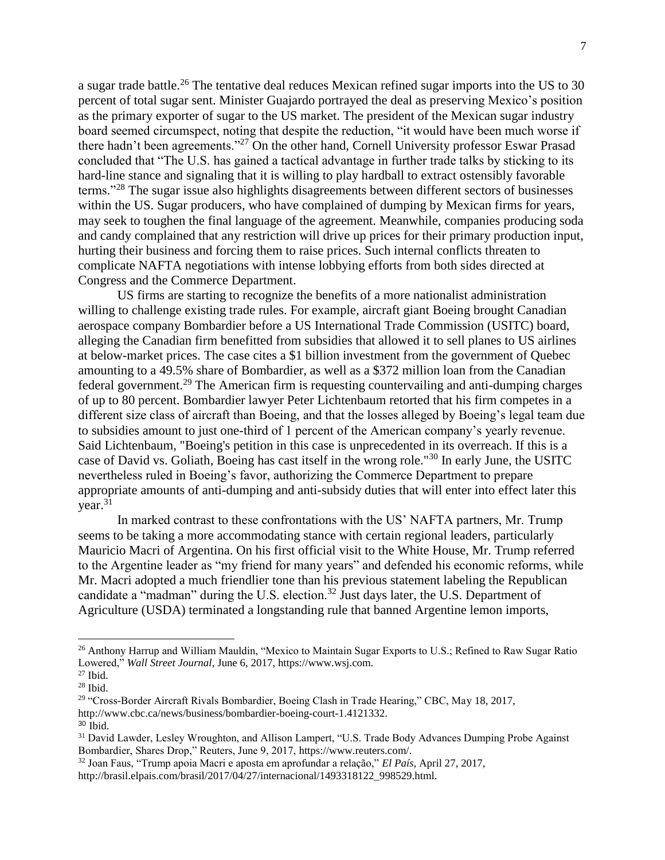a sugar trade battle.<sup>26</sup> The tentative deal reduces Mexican refined sugar imports into the US to 30 percent of total sugar sent. Minister Guajardo portrayed the deal as preserving Mexico's position as the primary exporter of sugar to the US market. The president of the Mexican sugar industry board seemed circumspect, noting that despite the reduction, "it would have been much worse if there hadn't been agreements."<sup>27</sup> On the other hand, Cornell University professor Eswar Prasad concluded that "The U.S. has gained a tactical advantage in further trade talks by sticking to its hard-line stance and signaling that it is willing to play hardball to extract ostensibly favorable terms."<sup>28</sup> The sugar issue also highlights disagreements between different sectors of businesses within the US. Sugar producers, who have complained of dumping by Mexican firms for years, may seek to toughen the final language of the agreement. Meanwhile, companies producing soda and candy complained that any restriction will drive up prices for their primary production input, hurting their business and forcing them to raise prices. Such internal conflicts threaten to complicate NAFTA negotiations with intense lobbying efforts from both sides directed at Congress and the Commerce Department.

US firms are starting to recognize the benefits of a more nationalist administration willing to challenge existing trade rules. For example, aircraft giant Boeing brought Canadian aerospace company Bombardier before a US International Trade Commission (USITC) board, alleging the Canadian firm benefitted from subsidies that allowed it to sell planes to US airlines at below-market prices. The case cites a \$1 billion investment from the government of Quebec amounting to a 49.5% share of Bombardier, as well as a \$372 million loan from the Canadian federal government.<sup>29</sup> The American firm is requesting countervailing and anti-dumping charges of up to 80 percent. Bombardier lawyer Peter Lichtenbaum retorted that his firm competes in a different size class of aircraft than Boeing, and that the losses alleged by Boeing's legal team due to subsidies amount to just one-third of 1 percent of the American company's yearly revenue. Said Lichtenbaum, "Boeing's petition in this case is unprecedented in its overreach. If this is a case of David vs. Goliath, Boeing has cast itself in the wrong role."<sup>30</sup> In early June, the USITC nevertheless ruled in Boeing's favor, authorizing the Commerce Department to prepare appropriate amounts of anti-dumping and anti-subsidy duties that will enter into effect later this  $year.<sup>31</sup>$ 

In marked contrast to these confrontations with the US' NAFTA partners, Mr. Trump seems to be taking a more accommodating stance with certain regional leaders, particularly Mauricio Macri of Argentina. On his first official visit to the White House, Mr. Trump referred to the Argentine leader as "my friend for many years" and defended his economic reforms, while Mr. Macri adopted a much friendlier tone than his previous statement labeling the Republican candidate a "madman" during the U.S. election.<sup>32</sup> Just days later, the U.S. Department of Agriculture (USDA) terminated a longstanding rule that banned Argentine lemon imports,

<sup>26</sup> Anthony Harrup and William Mauldin, "Mexico to Maintain Sugar Exports to U.S.; Refined to Raw Sugar Ratio Lowered," *Wall Street Journal*, June 6, 2017, https://www.wsj.com.

<sup>27</sup> Ibid.

<sup>28</sup> Ibid.

<sup>&</sup>lt;sup>29</sup> "Cross-Border Aircraft Rivals Bombardier, Boeing Clash in Trade Hearing," CBC, May 18, 2017, http://www.cbc.ca/news/business/bombardier-boeing-court-1.4121332.

<sup>30</sup> Ibid.

<sup>&</sup>lt;sup>31</sup> David Lawder, Lesley Wroughton, and Allison Lampert, "U.S. Trade Body Advances Dumping Probe Against Bombardier, Shares Drop," Reuters, June 9, 2017, https://www.reuters.com/.

<sup>32</sup> Joan Faus, "Trump apoia Macri e aposta em aprofundar a relação," *El País*, April 27, 2017,

http://brasil.elpais.com/brasil/2017/04/27/internacional/1493318122\_998529.html.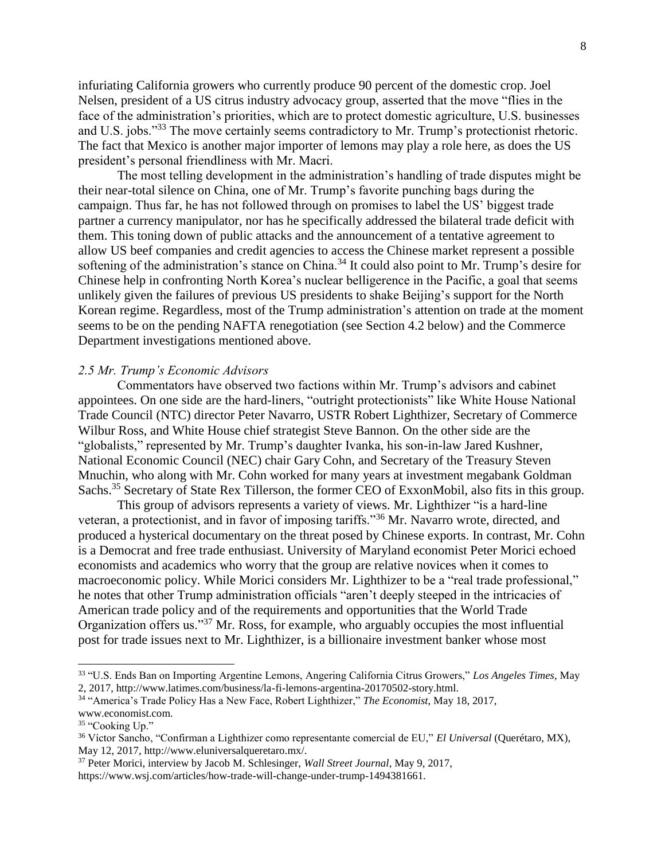infuriating California growers who currently produce 90 percent of the domestic crop. Joel Nelsen, president of a US citrus industry advocacy group, asserted that the move "flies in the face of the administration's priorities, which are to protect domestic agriculture, U.S. businesses and U.S. jobs."<sup>33</sup> The move certainly seems contradictory to Mr. Trump's protectionist rhetoric. The fact that Mexico is another major importer of lemons may play a role here, as does the US president's personal friendliness with Mr. Macri.

The most telling development in the administration's handling of trade disputes might be their near-total silence on China, one of Mr. Trump's favorite punching bags during the campaign. Thus far, he has not followed through on promises to label the US' biggest trade partner a currency manipulator, nor has he specifically addressed the bilateral trade deficit with them. This toning down of public attacks and the announcement of a tentative agreement to allow US beef companies and credit agencies to access the Chinese market represent a possible softening of the administration's stance on China.<sup>34</sup> It could also point to Mr. Trump's desire for Chinese help in confronting North Korea's nuclear belligerence in the Pacific, a goal that seems unlikely given the failures of previous US presidents to shake Beijing's support for the North Korean regime. Regardless, most of the Trump administration's attention on trade at the moment seems to be on the pending NAFTA renegotiation (see Section 4.2 below) and the Commerce Department investigations mentioned above.

## *2.5 Mr. Trump's Economic Advisors*

Commentators have observed two factions within Mr. Trump's advisors and cabinet appointees. On one side are the hard-liners, "outright protectionists" like White House National Trade Council (NTC) director Peter Navarro, USTR Robert Lighthizer, Secretary of Commerce Wilbur Ross, and White House chief strategist Steve Bannon. On the other side are the "globalists," represented by Mr. Trump's daughter Ivanka, his son-in-law Jared Kushner, National Economic Council (NEC) chair Gary Cohn, and Secretary of the Treasury Steven Mnuchin, who along with Mr. Cohn worked for many years at investment megabank Goldman Sachs.<sup>35</sup> Secretary of State Rex Tillerson, the former CEO of ExxonMobil, also fits in this group.

This group of advisors represents a variety of views. Mr. Lighthizer "is a hard-line veteran, a protectionist, and in favor of imposing tariffs."<sup>36</sup> Mr. Navarro wrote, directed, and produced a hysterical documentary on the threat posed by Chinese exports. In contrast, Mr. Cohn is a Democrat and free trade enthusiast. University of Maryland economist Peter Morici echoed economists and academics who worry that the group are relative novices when it comes to macroeconomic policy. While Morici considers Mr. Lighthizer to be a "real trade professional," he notes that other Trump administration officials "aren't deeply steeped in the intricacies of American trade policy and of the requirements and opportunities that the World Trade Organization offers us."<sup>37</sup> Mr. Ross, for example, who arguably occupies the most influential post for trade issues next to Mr. Lighthizer, is a billionaire investment banker whose most

<sup>34</sup> "America's Trade Policy Has a New Face, Robert Lighthizer," *The Economist*, May 18, 2017, www.economist.com.

<sup>33</sup> "U.S. Ends Ban on Importing Argentine Lemons, Angering California Citrus Growers," *Los Angeles Times*, May 2, 2017, http://www.latimes.com/business/la-fi-lemons-argentina-20170502-story.html.

<sup>&</sup>lt;sup>35</sup> "Cooking Up."

<sup>36</sup> Víctor Sancho, "Confirman a Lighthizer como representante comercial de EU," *El Universal* (Querétaro, MX), May 12, 2017, http://www.eluniversalqueretaro.mx/.

<sup>37</sup> Peter Morici, interview by Jacob M. Schlesinger, *Wall Street Journal*, May 9, 2017, https://www.wsj.com/articles/how-trade-will-change-under-trump-1494381661.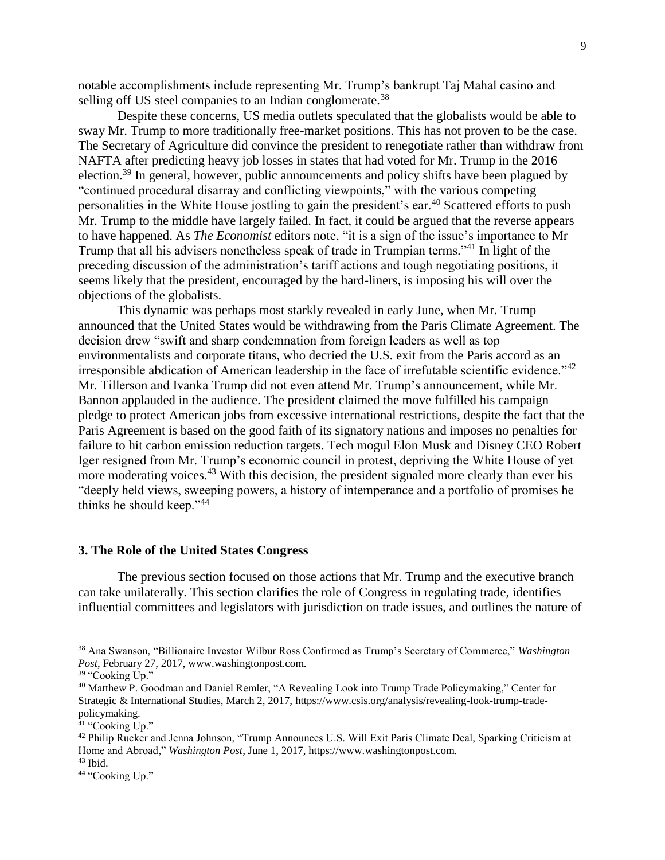notable accomplishments include representing Mr. Trump's bankrupt Taj Mahal casino and selling off US steel companies to an Indian conglomerate.<sup>38</sup>

Despite these concerns, US media outlets speculated that the globalists would be able to sway Mr. Trump to more traditionally free-market positions. This has not proven to be the case. The Secretary of Agriculture did convince the president to renegotiate rather than withdraw from NAFTA after predicting heavy job losses in states that had voted for Mr. Trump in the 2016 election.<sup>39</sup> In general, however, public announcements and policy shifts have been plagued by "continued procedural disarray and conflicting viewpoints," with the various competing personalities in the White House jostling to gain the president's ear.<sup>40</sup> Scattered efforts to push Mr. Trump to the middle have largely failed. In fact, it could be argued that the reverse appears to have happened. As *The Economist* editors note, "it is a sign of the issue's importance to Mr Trump that all his advisers nonetheless speak of trade in Trumpian terms."<sup>41</sup> In light of the preceding discussion of the administration's tariff actions and tough negotiating positions, it seems likely that the president, encouraged by the hard-liners, is imposing his will over the objections of the globalists.

This dynamic was perhaps most starkly revealed in early June, when Mr. Trump announced that the United States would be withdrawing from the Paris Climate Agreement. The decision drew "swift and sharp condemnation from foreign leaders as well as top environmentalists and corporate titans, who decried the U.S. exit from the Paris accord as an irresponsible abdication of American leadership in the face of irrefutable scientific evidence."<sup>42</sup> Mr. Tillerson and Ivanka Trump did not even attend Mr. Trump's announcement, while Mr. Bannon applauded in the audience. The president claimed the move fulfilled his campaign pledge to protect American jobs from excessive international restrictions, despite the fact that the Paris Agreement is based on the good faith of its signatory nations and imposes no penalties for failure to hit carbon emission reduction targets. Tech mogul Elon Musk and Disney CEO Robert Iger resigned from Mr. Trump's economic council in protest, depriving the White House of yet more moderating voices.<sup>43</sup> With this decision, the president signaled more clearly than ever his "deeply held views, sweeping powers, a history of intemperance and a portfolio of promises he thinks he should keep."<sup>44</sup>

## **3. The Role of the United States Congress**

The previous section focused on those actions that Mr. Trump and the executive branch can take unilaterally. This section clarifies the role of Congress in regulating trade, identifies influential committees and legislators with jurisdiction on trade issues, and outlines the nature of

<sup>38</sup> Ana Swanson, "Billionaire Investor Wilbur Ross Confirmed as Trump's Secretary of Commerce," *Washington Post*, February 27, 2017, www.washingtonpost.com.

<sup>&</sup>lt;sup>39</sup> "Cooking Up."

<sup>40</sup> Matthew P. Goodman and Daniel Remler, "A Revealing Look into Trump Trade Policymaking," Center for Strategic & International Studies, March 2, 2017, https://www.csis.org/analysis/revealing-look-trump-tradepolicymaking.

<sup>&</sup>lt;sup>41</sup> "Cooking Up."

<sup>&</sup>lt;sup>42</sup> Philip Rucker and Jenna Johnson, "Trump Announces U.S. Will Exit Paris Climate Deal, Sparking Criticism at Home and Abroad," *Washington Post*, June 1, 2017, https://www.washingtonpost.com.

 $43$  Ibid.

<sup>&</sup>lt;sup>44</sup> "Cooking Up."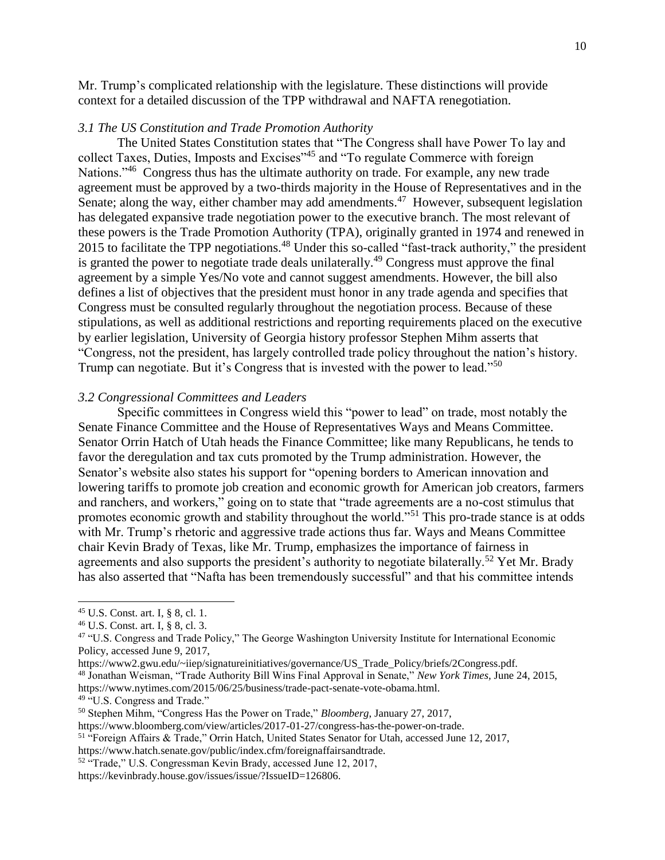Mr. Trump's complicated relationship with the legislature. These distinctions will provide context for a detailed discussion of the TPP withdrawal and NAFTA renegotiation.

#### *3.1 The US Constitution and Trade Promotion Authority*

The United States Constitution states that "The Congress shall have Power To lay and collect Taxes, Duties, Imposts and Excises"<sup>45</sup> and "To regulate Commerce with foreign Nations."<sup>46</sup> Congress thus has the ultimate authority on trade. For example, any new trade agreement must be approved by a two-thirds majority in the House of Representatives and in the Senate; along the way, either chamber may add amendments.<sup>47</sup> However, subsequent legislation has delegated expansive trade negotiation power to the executive branch. The most relevant of these powers is the Trade Promotion Authority (TPA), originally granted in 1974 and renewed in 2015 to facilitate the TPP negotiations.<sup>48</sup> Under this so-called "fast-track authority," the president is granted the power to negotiate trade deals unilaterally.<sup>49</sup> Congress must approve the final agreement by a simple Yes/No vote and cannot suggest amendments. However, the bill also defines a list of objectives that the president must honor in any trade agenda and specifies that Congress must be consulted regularly throughout the negotiation process. Because of these stipulations, as well as additional restrictions and reporting requirements placed on the executive by earlier legislation, University of Georgia history professor Stephen Mihm asserts that "Congress, not the president, has largely controlled trade policy throughout the nation's history. Trump can negotiate. But it's Congress that is invested with the power to lead."<sup>50</sup>

#### *3.2 Congressional Committees and Leaders*

Specific committees in Congress wield this "power to lead" on trade, most notably the Senate Finance Committee and the House of Representatives Ways and Means Committee. Senator Orrin Hatch of Utah heads the Finance Committee; like many Republicans, he tends to favor the deregulation and tax cuts promoted by the Trump administration. However, the Senator's website also states his support for "opening borders to American innovation and lowering tariffs to promote job creation and economic growth for American job creators, farmers and ranchers, and workers," going on to state that "trade agreements are a no-cost stimulus that promotes economic growth and stability throughout the world."<sup>51</sup> This pro-trade stance is at odds with Mr. Trump's rhetoric and aggressive trade actions thus far. Ways and Means Committee chair Kevin Brady of Texas, like Mr. Trump, emphasizes the importance of fairness in agreements and also supports the president's authority to negotiate bilaterally.<sup>52</sup> Yet Mr. Brady has also asserted that "Nafta has been tremendously successful" and that his committee intends

- https://www2.gwu.edu/~iiep/signatureinitiatives/governance/US\_Trade\_Policy/briefs/2Congress.pdf. <sup>48</sup> Jonathan Weisman, "Trade Authority Bill Wins Final Approval in Senate," *New York Times,* June 24, 2015,
- https://www.nytimes.com/2015/06/25/business/trade-pact-senate-vote-obama.html. <sup>49 "</sup>U.S. Congress and Trade."

https://www.bloomberg.com/view/articles/2017-01-27/congress-has-the-power-on-trade.

<sup>45</sup> U.S. Const. art. I, § 8, cl. 1.

<sup>46</sup> U.S. Const. art. I, § 8, cl. 3.

<sup>&</sup>lt;sup>47</sup> "U.S. Congress and Trade Policy," The George Washington University Institute for International Economic Policy, accessed June 9, 2017,

<sup>50</sup> Stephen Mihm, "Congress Has the Power on Trade," *Bloomberg*, January 27, 2017,

<sup>51</sup> "Foreign Affairs & Trade," Orrin Hatch, United States Senator for Utah, accessed June 12, 2017,

https://www.hatch.senate.gov/public/index.cfm/foreignaffairsandtrade.

<sup>52</sup> "Trade," U.S. Congressman Kevin Brady, accessed June 12, 2017,

https://kevinbrady.house.gov/issues/issue/?IssueID=126806.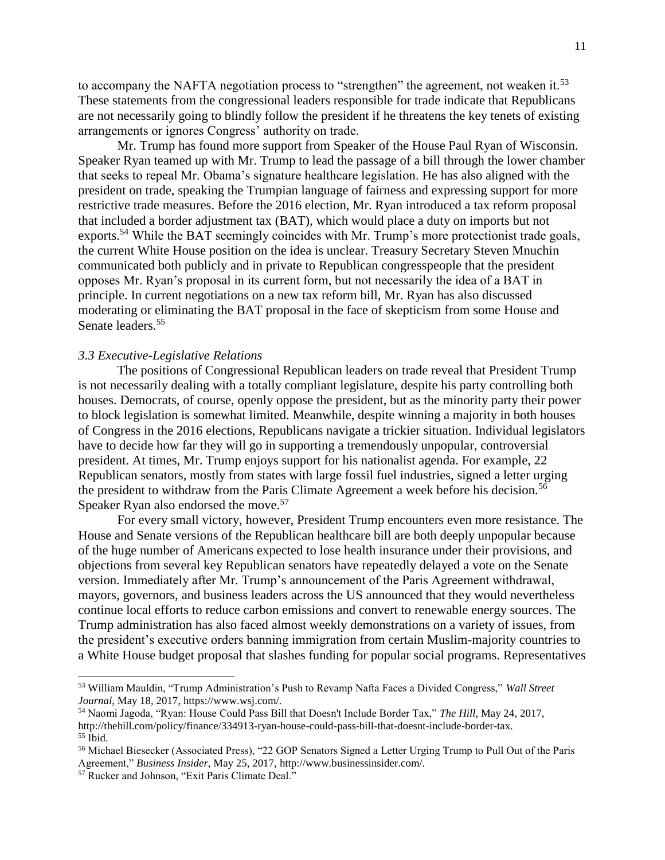to accompany the NAFTA negotiation process to "strengthen" the agreement, not weaken it.<sup>53</sup> These statements from the congressional leaders responsible for trade indicate that Republicans are not necessarily going to blindly follow the president if he threatens the key tenets of existing arrangements or ignores Congress' authority on trade.

Mr. Trump has found more support from Speaker of the House Paul Ryan of Wisconsin. Speaker Ryan teamed up with Mr. Trump to lead the passage of a bill through the lower chamber that seeks to repeal Mr. Obama's signature healthcare legislation. He has also aligned with the president on trade, speaking the Trumpian language of fairness and expressing support for more restrictive trade measures. Before the 2016 election, Mr. Ryan introduced a tax reform proposal that included a border adjustment tax (BAT), which would place a duty on imports but not exports.<sup>54</sup> While the BAT seemingly coincides with Mr. Trump's more protectionist trade goals, the current White House position on the idea is unclear. Treasury Secretary Steven Mnuchin communicated both publicly and in private to Republican congresspeople that the president opposes Mr. Ryan's proposal in its current form, but not necessarily the idea of a BAT in principle. In current negotiations on a new tax reform bill, Mr. Ryan has also discussed moderating or eliminating the BAT proposal in the face of skepticism from some House and Senate leaders.<sup>55</sup>

### *3.3 Executive-Legislative Relations*

The positions of Congressional Republican leaders on trade reveal that President Trump is not necessarily dealing with a totally compliant legislature, despite his party controlling both houses. Democrats, of course, openly oppose the president, but as the minority party their power to block legislation is somewhat limited. Meanwhile, despite winning a majority in both houses of Congress in the 2016 elections, Republicans navigate a trickier situation. Individual legislators have to decide how far they will go in supporting a tremendously unpopular, controversial president. At times, Mr. Trump enjoys support for his nationalist agenda. For example, 22 Republican senators, mostly from states with large fossil fuel industries, signed a letter urging the president to withdraw from the Paris Climate Agreement a week before his decision.<sup>56</sup> Speaker Ryan also endorsed the move.<sup>57</sup>

For every small victory, however, President Trump encounters even more resistance. The House and Senate versions of the Republican healthcare bill are both deeply unpopular because of the huge number of Americans expected to lose health insurance under their provisions, and objections from several key Republican senators have repeatedly delayed a vote on the Senate version. Immediately after Mr. Trump's announcement of the Paris Agreement withdrawal, mayors, governors, and business leaders across the US announced that they would nevertheless continue local efforts to reduce carbon emissions and convert to renewable energy sources. The Trump administration has also faced almost weekly demonstrations on a variety of issues, from the president's executive orders banning immigration from certain Muslim-majority countries to a White House budget proposal that slashes funding for popular social programs. Representatives

<sup>53</sup> William Mauldin, "Trump Administration's Push to Revamp Nafta Faces a Divided Congress," *Wall Street Journal*, May 18, 2017, https://www.wsj.com/.

<sup>54</sup> Naomi Jagoda, "Ryan: House Could Pass Bill that Doesn't Include Border Tax," *The Hill*, May 24, 2017, http://thehill.com/policy/finance/334913-ryan-house-could-pass-bill-that-doesnt-include-border-tax.  $55$  Ibid.

<sup>56</sup> Michael Biesecker (Associated Press), "22 GOP Senators Signed a Letter Urging Trump to Pull Out of the Paris Agreement," *Business Insider*, May 25, 2017, http://www.businessinsider.com/.

<sup>57</sup> Rucker and Johnson, "Exit Paris Climate Deal."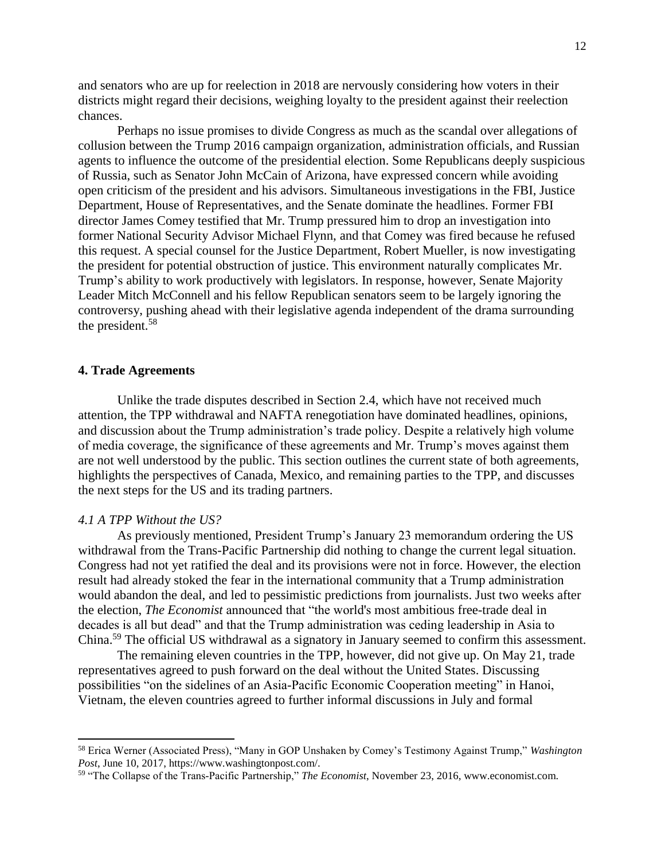and senators who are up for reelection in 2018 are nervously considering how voters in their districts might regard their decisions, weighing loyalty to the president against their reelection chances.

Perhaps no issue promises to divide Congress as much as the scandal over allegations of collusion between the Trump 2016 campaign organization, administration officials, and Russian agents to influence the outcome of the presidential election. Some Republicans deeply suspicious of Russia, such as Senator John McCain of Arizona, have expressed concern while avoiding open criticism of the president and his advisors. Simultaneous investigations in the FBI, Justice Department, House of Representatives, and the Senate dominate the headlines. Former FBI director James Comey testified that Mr. Trump pressured him to drop an investigation into former National Security Advisor Michael Flynn, and that Comey was fired because he refused this request. A special counsel for the Justice Department, Robert Mueller, is now investigating the president for potential obstruction of justice. This environment naturally complicates Mr. Trump's ability to work productively with legislators. In response, however, Senate Majority Leader Mitch McConnell and his fellow Republican senators seem to be largely ignoring the controversy, pushing ahead with their legislative agenda independent of the drama surrounding the president.<sup>58</sup>

## **4. Trade Agreements**

Unlike the trade disputes described in Section 2.4, which have not received much attention, the TPP withdrawal and NAFTA renegotiation have dominated headlines, opinions, and discussion about the Trump administration's trade policy. Despite a relatively high volume of media coverage, the significance of these agreements and Mr. Trump's moves against them are not well understood by the public. This section outlines the current state of both agreements, highlights the perspectives of Canada, Mexico, and remaining parties to the TPP, and discusses the next steps for the US and its trading partners.

#### *4.1 A TPP Without the US?*

 $\overline{a}$ 

As previously mentioned, President Trump's January 23 memorandum ordering the US withdrawal from the Trans-Pacific Partnership did nothing to change the current legal situation. Congress had not yet ratified the deal and its provisions were not in force. However, the election result had already stoked the fear in the international community that a Trump administration would abandon the deal, and led to pessimistic predictions from journalists. Just two weeks after the election, *The Economist* announced that "the world's most ambitious free-trade deal in decades is all but dead" and that the Trump administration was ceding leadership in Asia to China.<sup>59</sup> The official US withdrawal as a signatory in January seemed to confirm this assessment.

The remaining eleven countries in the TPP, however, did not give up. On May 21, trade representatives agreed to push forward on the deal without the United States. Discussing possibilities "on the sidelines of an Asia-Pacific Economic Cooperation meeting" in Hanoi, Vietnam, the eleven countries agreed to further informal discussions in July and formal

<sup>58</sup> Erica Werner (Associated Press), "Many in GOP Unshaken by Comey's Testimony Against Trump," *Washington Post*, June 10, 2017, https://www.washingtonpost.com/.

<sup>59</sup> "The Collapse of the Trans-Pacific Partnership," *The Economist*, November 23, 2016, www.economist.com.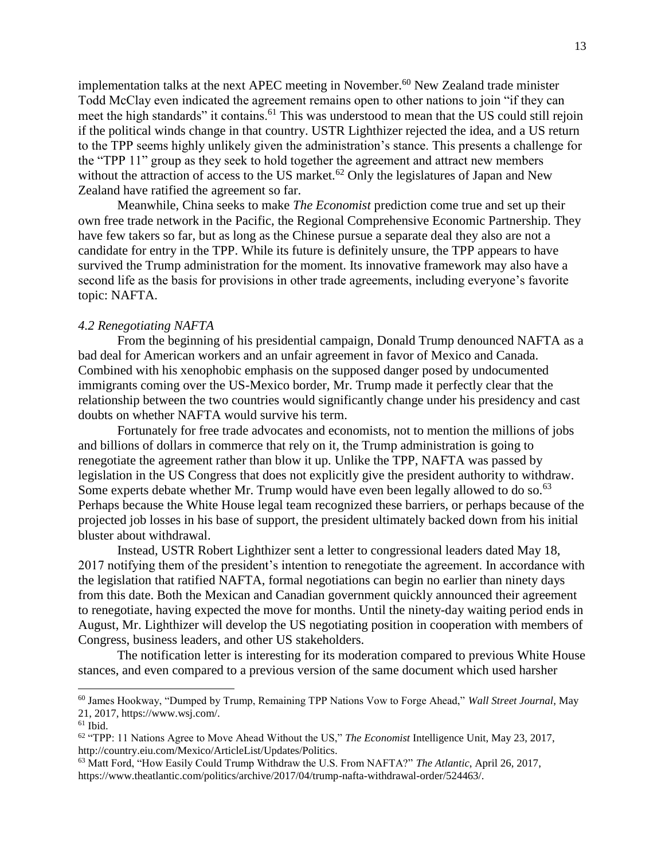implementation talks at the next APEC meeting in November.<sup>60</sup> New Zealand trade minister Todd McClay even indicated the agreement remains open to other nations to join "if they can meet the high standards" it contains.<sup>61</sup> This was understood to mean that the US could still rejoin if the political winds change in that country. USTR Lighthizer rejected the idea, and a US return to the TPP seems highly unlikely given the administration's stance. This presents a challenge for the "TPP 11" group as they seek to hold together the agreement and attract new members without the attraction of access to the US market.<sup>62</sup> Only the legislatures of Japan and New Zealand have ratified the agreement so far.

Meanwhile, China seeks to make *The Economist* prediction come true and set up their own free trade network in the Pacific, the Regional Comprehensive Economic Partnership. They have few takers so far, but as long as the Chinese pursue a separate deal they also are not a candidate for entry in the TPP. While its future is definitely unsure, the TPP appears to have survived the Trump administration for the moment. Its innovative framework may also have a second life as the basis for provisions in other trade agreements, including everyone's favorite topic: NAFTA.

#### *4.2 Renegotiating NAFTA*

From the beginning of his presidential campaign, Donald Trump denounced NAFTA as a bad deal for American workers and an unfair agreement in favor of Mexico and Canada. Combined with his xenophobic emphasis on the supposed danger posed by undocumented immigrants coming over the US-Mexico border, Mr. Trump made it perfectly clear that the relationship between the two countries would significantly change under his presidency and cast doubts on whether NAFTA would survive his term.

Fortunately for free trade advocates and economists, not to mention the millions of jobs and billions of dollars in commerce that rely on it, the Trump administration is going to renegotiate the agreement rather than blow it up. Unlike the TPP, NAFTA was passed by legislation in the US Congress that does not explicitly give the president authority to withdraw. Some experts debate whether Mr. Trump would have even been legally allowed to do so.<sup>63</sup> Perhaps because the White House legal team recognized these barriers, or perhaps because of the projected job losses in his base of support, the president ultimately backed down from his initial bluster about withdrawal.

Instead, USTR Robert Lighthizer sent a letter to congressional leaders dated May 18, 2017 notifying them of the president's intention to renegotiate the agreement. In accordance with the legislation that ratified NAFTA, formal negotiations can begin no earlier than ninety days from this date. Both the Mexican and Canadian government quickly announced their agreement to renegotiate, having expected the move for months. Until the ninety-day waiting period ends in August, Mr. Lighthizer will develop the US negotiating position in cooperation with members of Congress, business leaders, and other US stakeholders.

The notification letter is interesting for its moderation compared to previous White House stances, and even compared to a previous version of the same document which used harsher

<sup>60</sup> James Hookway, "Dumped by Trump, Remaining TPP Nations Vow to Forge Ahead," *Wall Street Journal*, May 21, 2017, https://www.wsj.com/.

 $61$  Ibid.

<sup>62</sup> "TPP: 11 Nations Agree to Move Ahead Without the US," *The Economist* Intelligence Unit, May 23, 2017, http://country.eiu.com/Mexico/ArticleList/Updates/Politics.

<sup>63</sup> Matt Ford, "How Easily Could Trump Withdraw the U.S. From NAFTA?" *The Atlantic*, April 26, 2017, https://www.theatlantic.com/politics/archive/2017/04/trump-nafta-withdrawal-order/524463/.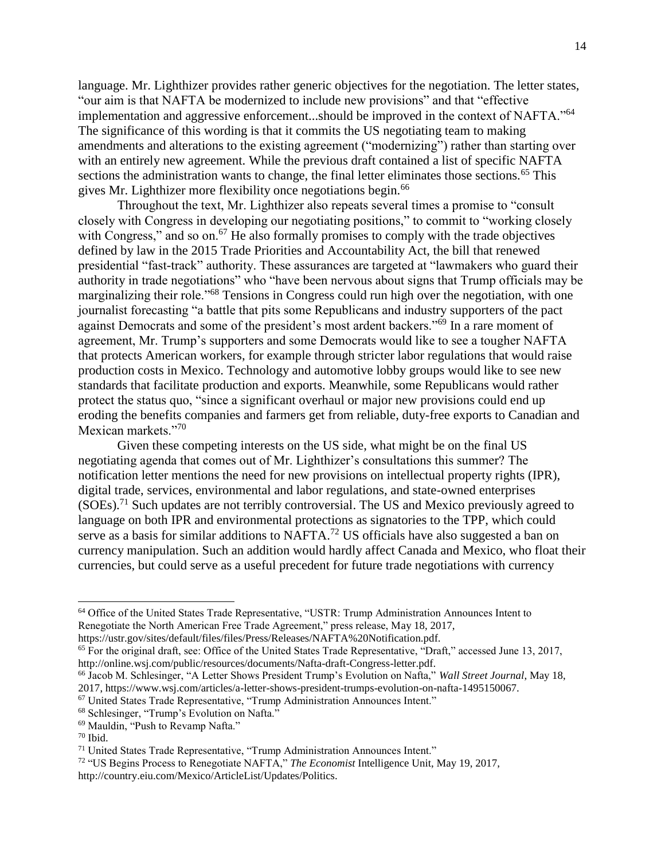language. Mr. Lighthizer provides rather generic objectives for the negotiation. The letter states, "our aim is that NAFTA be modernized to include new provisions" and that "effective implementation and aggressive enforcement...should be improved in the context of NAFTA."<sup>64</sup> The significance of this wording is that it commits the US negotiating team to making amendments and alterations to the existing agreement ("modernizing") rather than starting over with an entirely new agreement. While the previous draft contained a list of specific NAFTA sections the administration wants to change, the final letter eliminates those sections.<sup>65</sup> This gives Mr. Lighthizer more flexibility once negotiations begin.<sup>66</sup>

Throughout the text, Mr. Lighthizer also repeats several times a promise to "consult closely with Congress in developing our negotiating positions," to commit to "working closely with Congress," and so on.<sup>67</sup> He also formally promises to comply with the trade objectives defined by law in the 2015 Trade Priorities and Accountability Act, the bill that renewed presidential "fast-track" authority. These assurances are targeted at "lawmakers who guard their authority in trade negotiations" who "have been nervous about signs that Trump officials may be marginalizing their role."<sup>68</sup> Tensions in Congress could run high over the negotiation, with one journalist forecasting "a battle that pits some Republicans and industry supporters of the pact against Democrats and some of the president's most ardent backers."<sup>69</sup> In a rare moment of agreement, Mr. Trump's supporters and some Democrats would like to see a tougher NAFTA that protects American workers, for example through stricter labor regulations that would raise production costs in Mexico. Technology and automotive lobby groups would like to see new standards that facilitate production and exports. Meanwhile, some Republicans would rather protect the status quo, "since a significant overhaul or major new provisions could end up eroding the benefits companies and farmers get from reliable, duty-free exports to Canadian and Mexican markets."70

Given these competing interests on the US side, what might be on the final US negotiating agenda that comes out of Mr. Lighthizer's consultations this summer? The notification letter mentions the need for new provisions on intellectual property rights (IPR), digital trade, services, environmental and labor regulations, and state-owned enterprises  $(SOEs).<sup>71</sup>$  Such updates are not terribly controversial. The US and Mexico previously agreed to language on both IPR and environmental protections as signatories to the TPP, which could serve as a basis for similar additions to NAFTA.<sup>72</sup> US officials have also suggested a ban on currency manipulation. Such an addition would hardly affect Canada and Mexico, who float their currencies, but could serve as a useful precedent for future trade negotiations with currency

<sup>64</sup> Office of the United States Trade Representative, "USTR: Trump Administration Announces Intent to Renegotiate the North American Free Trade Agreement," press release, May 18, 2017,

https://ustr.gov/sites/default/files/files/Press/Releases/NAFTA%20Notification.pdf.

<sup>65</sup> For the original draft, see: Office of the United States Trade Representative, "Draft," accessed June 13, 2017, http://online.wsj.com/public/resources/documents/Nafta-draft-Congress-letter.pdf.

<sup>66</sup> Jacob M. Schlesinger, "A Letter Shows President Trump's Evolution on Nafta," *Wall Street Journal*, May 18, 2017, https://www.wsj.com/articles/a-letter-shows-president-trumps-evolution-on-nafta-1495150067.

<sup>67</sup> United States Trade Representative, "Trump Administration Announces Intent."

<sup>68</sup> Schlesinger, "Trump's Evolution on Nafta."

<sup>69</sup> Mauldin, "Push to Revamp Nafta."

 $70$  Ibid.

<sup>71</sup> United States Trade Representative, "Trump Administration Announces Intent."

<sup>72</sup> "US Begins Process to Renegotiate NAFTA," *The Economist* Intelligence Unit, May 19, 2017, http://country.eiu.com/Mexico/ArticleList/Updates/Politics.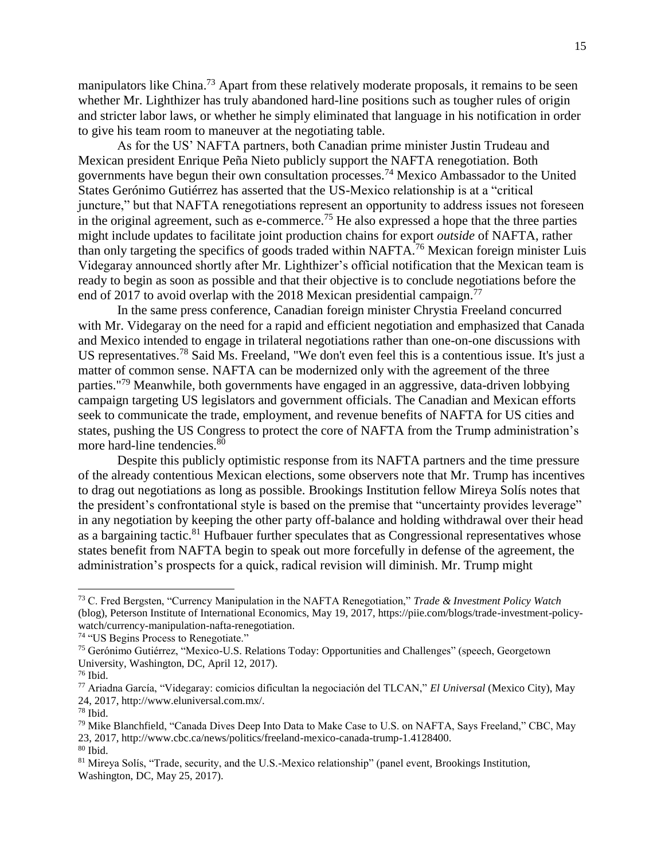manipulators like China.<sup>73</sup> Apart from these relatively moderate proposals, it remains to be seen whether Mr. Lighthizer has truly abandoned hard-line positions such as tougher rules of origin and stricter labor laws, or whether he simply eliminated that language in his notification in order to give his team room to maneuver at the negotiating table.

As for the US' NAFTA partners, both Canadian prime minister Justin Trudeau and Mexican president Enrique Peña Nieto publicly support the NAFTA renegotiation. Both governments have begun their own consultation processes.<sup>74</sup> Mexico Ambassador to the United States Gerónimo Gutiérrez has asserted that the US-Mexico relationship is at a "critical juncture," but that NAFTA renegotiations represent an opportunity to address issues not foreseen in the original agreement, such as e-commerce.<sup>75</sup> He also expressed a hope that the three parties might include updates to facilitate joint production chains for export *outside* of NAFTA, rather than only targeting the specifics of goods traded within NAFTA.<sup>76</sup> Mexican foreign minister Luis Videgaray announced shortly after Mr. Lighthizer's official notification that the Mexican team is ready to begin as soon as possible and that their objective is to conclude negotiations before the end of 2017 to avoid overlap with the 2018 Mexican presidential campaign.<sup>77</sup>

In the same press conference, Canadian foreign minister Chrystia Freeland concurred with Mr. Videgaray on the need for a rapid and efficient negotiation and emphasized that Canada and Mexico intended to engage in trilateral negotiations rather than one-on-one discussions with US representatives.<sup>78</sup> Said Ms. Freeland, "We don't even feel this is a contentious issue. It's just a matter of common sense. NAFTA can be modernized only with the agreement of the three parties."<sup>79</sup> Meanwhile, both governments have engaged in an aggressive, data-driven lobbying campaign targeting US legislators and government officials. The Canadian and Mexican efforts seek to communicate the trade, employment, and revenue benefits of NAFTA for US cities and states, pushing the US Congress to protect the core of NAFTA from the Trump administration's more hard-line tendencies.<sup>80</sup>

Despite this publicly optimistic response from its NAFTA partners and the time pressure of the already contentious Mexican elections, some observers note that Mr. Trump has incentives to drag out negotiations as long as possible. Brookings Institution fellow Mireya Solís notes that the president's confrontational style is based on the premise that "uncertainty provides leverage" in any negotiation by keeping the other party off-balance and holding withdrawal over their head as a bargaining tactic.<sup>81</sup> Hufbauer further speculates that as Congressional representatives whose states benefit from NAFTA begin to speak out more forcefully in defense of the agreement, the administration's prospects for a quick, radical revision will diminish. Mr. Trump might

<sup>73</sup> C. Fred Bergsten, "Currency Manipulation in the NAFTA Renegotiation," *Trade & Investment Policy Watch* (blog), Peterson Institute of International Economics, May 19, 2017, https://piie.com/blogs/trade-investment-policywatch/currency-manipulation-nafta-renegotiation.

<sup>74</sup> "US Begins Process to Renegotiate."

<sup>75</sup> Gerónimo Gutiérrez, "Mexico-U.S. Relations Today: Opportunities and Challenges" (speech, Georgetown University, Washington, DC, April 12, 2017).

<sup>76</sup> Ibid.

<sup>77</sup> Ariadna García, "Videgaray: comicios dificultan la negociación del TLCAN," *El Universal* (Mexico City), May 24, 2017, http://www.eluniversal.com.mx/.

<sup>78</sup> Ibid.

<sup>79</sup> Mike Blanchfield, "Canada Dives Deep Into Data to Make Case to U.S. on NAFTA, Says Freeland," CBC, May 23, 2017, http://www.cbc.ca/news/politics/freeland-mexico-canada-trump-1.4128400.  $\rm ^{80}$  Ibid.

<sup>81</sup> Mireya Solís, "Trade, security, and the U.S.-Mexico relationship" (panel event, Brookings Institution, Washington, DC, May 25, 2017).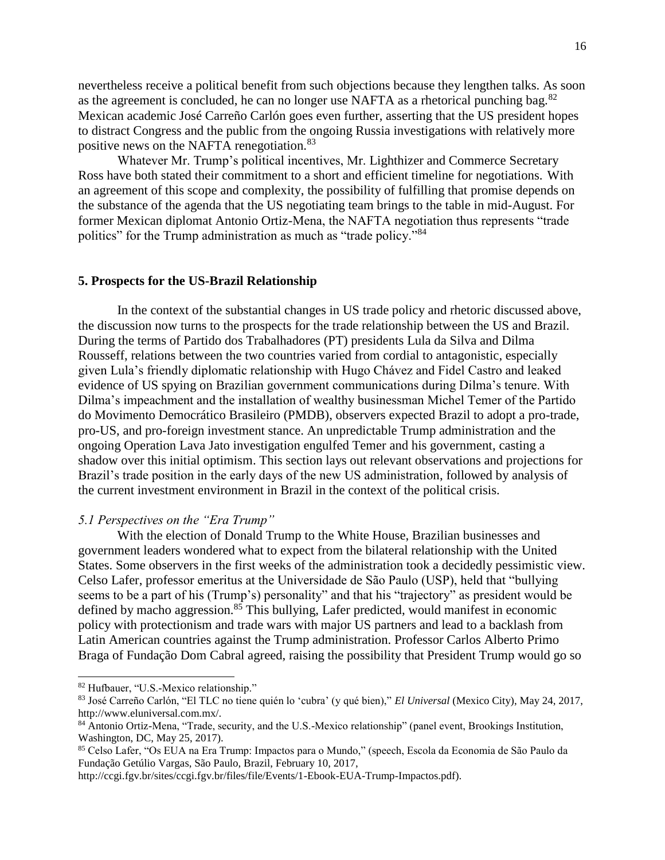nevertheless receive a political benefit from such objections because they lengthen talks. As soon as the agreement is concluded, he can no longer use NAFTA as a rhetorical punching bag.<sup>82</sup> Mexican academic José Carreño Carlón goes even further, asserting that the US president hopes to distract Congress and the public from the ongoing Russia investigations with relatively more positive news on the NAFTA renegotiation.<sup>83</sup>

Whatever Mr. Trump's political incentives, Mr. Lighthizer and Commerce Secretary Ross have both stated their commitment to a short and efficient timeline for negotiations. With an agreement of this scope and complexity, the possibility of fulfilling that promise depends on the substance of the agenda that the US negotiating team brings to the table in mid-August. For former Mexican diplomat Antonio Ortiz-Mena, the NAFTA negotiation thus represents "trade politics" for the Trump administration as much as "trade policy."<sup>84</sup>

## **5. Prospects for the US-Brazil Relationship**

In the context of the substantial changes in US trade policy and rhetoric discussed above, the discussion now turns to the prospects for the trade relationship between the US and Brazil. During the terms of Partido dos Trabalhadores (PT) presidents Lula da Silva and Dilma Rousseff, relations between the two countries varied from cordial to antagonistic, especially given Lula's friendly diplomatic relationship with Hugo Chávez and Fidel Castro and leaked evidence of US spying on Brazilian government communications during Dilma's tenure. With Dilma's impeachment and the installation of wealthy businessman Michel Temer of the Partido do Movimento Democrático Brasileiro (PMDB), observers expected Brazil to adopt a pro-trade, pro-US, and pro-foreign investment stance. An unpredictable Trump administration and the ongoing Operation Lava Jato investigation engulfed Temer and his government, casting a shadow over this initial optimism. This section lays out relevant observations and projections for Brazil's trade position in the early days of the new US administration, followed by analysis of the current investment environment in Brazil in the context of the political crisis.

#### *5.1 Perspectives on the "Era Trump"*

With the election of Donald Trump to the White House, Brazilian businesses and government leaders wondered what to expect from the bilateral relationship with the United States. Some observers in the first weeks of the administration took a decidedly pessimistic view. Celso Lafer, professor emeritus at the Universidade de São Paulo (USP), held that "bullying seems to be a part of his (Trump's) personality" and that his "trajectory" as president would be defined by macho aggression. $85$  This bullying, Lafer predicted, would manifest in economic policy with protectionism and trade wars with major US partners and lead to a backlash from Latin American countries against the Trump administration. Professor Carlos Alberto Primo Braga of Fundação Dom Cabral agreed, raising the possibility that President Trump would go so

<sup>82</sup> Hufbauer, "U.S.-Mexico relationship."

<sup>83</sup> José Carreño Carlón, "El TLC no tiene quién lo 'cubra' (y qué bien)," *El Universal* (Mexico City), May 24, 2017, http://www.eluniversal.com.mx/.

<sup>84</sup> Antonio Ortiz-Mena, "Trade, security, and the U.S.-Mexico relationship" (panel event, Brookings Institution, Washington, DC, May 25, 2017).

<sup>85</sup> Celso Lafer, "Os EUA na Era Trump: Impactos para o Mundo," (speech, Escola da Economia de São Paulo da Fundação Getúlio Vargas, São Paulo, Brazil, February 10, 2017,

http://ccgi.fgv.br/sites/ccgi.fgv.br/files/file/Events/1-Ebook-EUA-Trump-Impactos.pdf).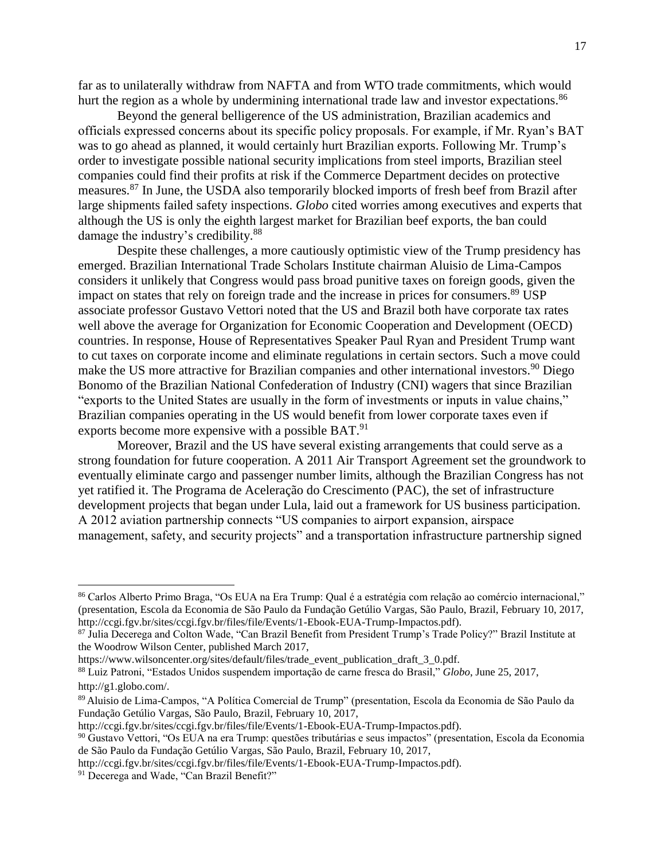far as to unilaterally withdraw from NAFTA and from WTO trade commitments, which would hurt the region as a whole by undermining international trade law and investor expectations.<sup>86</sup>

Beyond the general belligerence of the US administration, Brazilian academics and officials expressed concerns about its specific policy proposals. For example, if Mr. Ryan's BAT was to go ahead as planned, it would certainly hurt Brazilian exports. Following Mr. Trump's order to investigate possible national security implications from steel imports, Brazilian steel companies could find their profits at risk if the Commerce Department decides on protective measures.<sup>87</sup> In June, the USDA also temporarily blocked imports of fresh beef from Brazil after large shipments failed safety inspections. *Globo* cited worries among executives and experts that although the US is only the eighth largest market for Brazilian beef exports, the ban could damage the industry's credibility.<sup>88</sup>

Despite these challenges, a more cautiously optimistic view of the Trump presidency has emerged. Brazilian International Trade Scholars Institute chairman Aluisio de Lima-Campos considers it unlikely that Congress would pass broad punitive taxes on foreign goods, given the impact on states that rely on foreign trade and the increase in prices for consumers.<sup>89</sup> USP associate professor Gustavo Vettori noted that the US and Brazil both have corporate tax rates well above the average for Organization for Economic Cooperation and Development (OECD) countries. In response, House of Representatives Speaker Paul Ryan and President Trump want to cut taxes on corporate income and eliminate regulations in certain sectors. Such a move could make the US more attractive for Brazilian companies and other international investors.<sup>90</sup> Diego Bonomo of the Brazilian National Confederation of Industry (CNI) wagers that since Brazilian "exports to the United States are usually in the form of investments or inputs in value chains," Brazilian companies operating in the US would benefit from lower corporate taxes even if exports become more expensive with a possible BAT.<sup>91</sup>

Moreover, Brazil and the US have several existing arrangements that could serve as a strong foundation for future cooperation. A 2011 Air Transport Agreement set the groundwork to eventually eliminate cargo and passenger number limits, although the Brazilian Congress has not yet ratified it. The Programa de Aceleração do Crescimento (PAC), the set of infrastructure development projects that began under Lula, laid out a framework for US business participation. A 2012 aviation partnership connects "US companies to airport expansion, airspace management, safety, and security projects" and a transportation infrastructure partnership signed

<sup>86</sup> Carlos Alberto Primo Braga, "Os EUA na Era Trump: Qual é a estratégia com relação ao comércio internacional," (presentation, Escola da Economia de São Paulo da Fundação Getúlio Vargas, São Paulo, Brazil, February 10, 2017, http://ccgi.fgv.br/sites/ccgi.fgv.br/files/file/Events/1-Ebook-EUA-Trump-Impactos.pdf).

<sup>87</sup> Julia Decerega and Colton Wade, "Can Brazil Benefit from President Trump's Trade Policy?" Brazil Institute at the Woodrow Wilson Center, published March 2017,

https://www.wilsoncenter.org/sites/default/files/trade\_event\_publication\_draft\_3\_0.pdf.

<sup>88</sup> Luiz Patroni, "Estados Unidos suspendem importação de carne fresca do Brasil," *Globo*, June 25, 2017, http://g1.globo.com/.

<sup>89</sup> Aluisio de Lima-Campos, "A Política Comercial de Trump" (presentation, Escola da Economia de São Paulo da Fundação Getúlio Vargas, São Paulo, Brazil, February 10, 2017,

http://ccgi.fgv.br/sites/ccgi.fgv.br/files/file/Events/1-Ebook-EUA-Trump-Impactos.pdf).

<sup>90</sup> Gustavo Vettori, "Os EUA na era Trump: questões tributárias e seus impactos" (presentation, Escola da Economia de São Paulo da Fundação Getúlio Vargas, São Paulo, Brazil, February 10, 2017,

http://ccgi.fgv.br/sites/ccgi.fgv.br/files/file/Events/1-Ebook-EUA-Trump-Impactos.pdf).

<sup>&</sup>lt;sup>91</sup> Decerega and Wade, "Can Brazil Benefit?"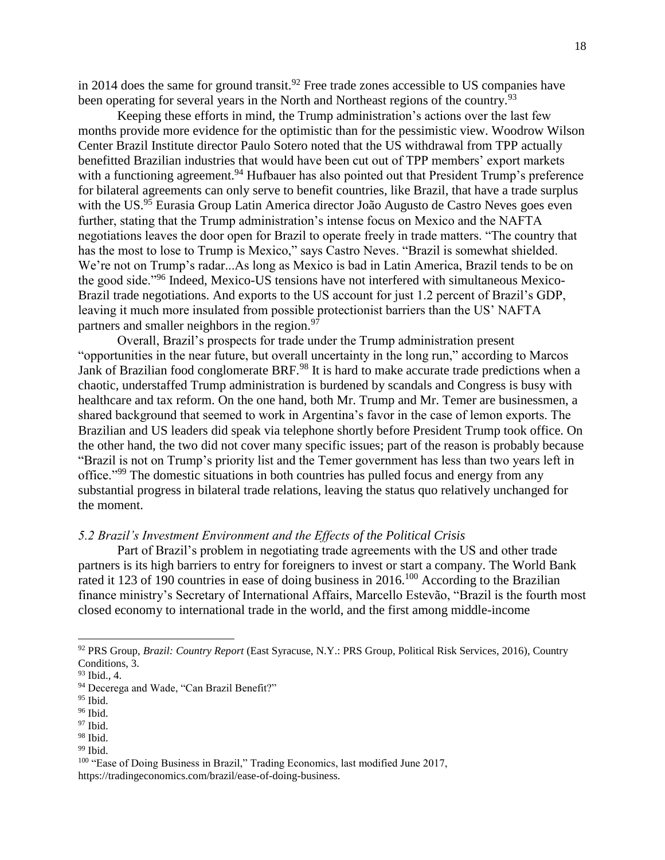in 2014 does the same for ground transit.<sup>92</sup> Free trade zones accessible to US companies have been operating for several years in the North and Northeast regions of the country.<sup>93</sup>

Keeping these efforts in mind, the Trump administration's actions over the last few months provide more evidence for the optimistic than for the pessimistic view. Woodrow Wilson Center Brazil Institute director Paulo Sotero noted that the US withdrawal from TPP actually benefitted Brazilian industries that would have been cut out of TPP members' export markets with a functioning agreement.<sup>94</sup> Hufbauer has also pointed out that President Trump's preference for bilateral agreements can only serve to benefit countries, like Brazil, that have a trade surplus with the US.<sup>95</sup> Eurasia Group Latin America director João Augusto de Castro Neves goes even further, stating that the Trump administration's intense focus on Mexico and the NAFTA negotiations leaves the door open for Brazil to operate freely in trade matters. "The country that has the most to lose to Trump is Mexico," says Castro Neves. "Brazil is somewhat shielded. We're not on Trump's radar...As long as Mexico is bad in Latin America, Brazil tends to be on the good side."<sup>96</sup> Indeed, Mexico-US tensions have not interfered with simultaneous Mexico-Brazil trade negotiations. And exports to the US account for just 1.2 percent of Brazil's GDP, leaving it much more insulated from possible protectionist barriers than the US' NAFTA partners and smaller neighbors in the region. $97$ 

Overall, Brazil's prospects for trade under the Trump administration present "opportunities in the near future, but overall uncertainty in the long run," according to Marcos Jank of Brazilian food conglomerate BRF.<sup>98</sup> It is hard to make accurate trade predictions when a chaotic, understaffed Trump administration is burdened by scandals and Congress is busy with healthcare and tax reform. On the one hand, both Mr. Trump and Mr. Temer are businessmen, a shared background that seemed to work in Argentina's favor in the case of lemon exports. The Brazilian and US leaders did speak via telephone shortly before President Trump took office. On the other hand, the two did not cover many specific issues; part of the reason is probably because "Brazil is not on Trump's priority list and the Temer government has less than two years left in office."<sup>99</sup> The domestic situations in both countries has pulled focus and energy from any substantial progress in bilateral trade relations, leaving the status quo relatively unchanged for the moment.

## *5.2 Brazil's Investment Environment and the Effects of the Political Crisis*

Part of Brazil's problem in negotiating trade agreements with the US and other trade partners is its high barriers to entry for foreigners to invest or start a company. The World Bank rated it 123 of 190 countries in ease of doing business in 2016.<sup>100</sup> According to the Brazilian finance ministry's Secretary of International Affairs, Marcello Estevão, "Brazil is the fourth most closed economy to international trade in the world, and the first among middle-income

<sup>92</sup> PRS Group, *Brazil: Country Report* (East Syracuse, N.Y.: PRS Group, Political Risk Services, 2016), Country Conditions, 3.

<sup>93</sup> Ibid., 4.

<sup>&</sup>lt;sup>94</sup> Decerega and Wade, "Can Brazil Benefit?"

 $95$  Ibid.

<sup>&</sup>lt;sup>96</sup> Ibid.

 $97$  Ibid.

<sup>98</sup> Ibid.

 $99$  Ibid.

<sup>&</sup>lt;sup>100</sup> "Ease of Doing Business in Brazil," Trading Economics, last modified June 2017, https://tradingeconomics.com/brazil/ease-of-doing-business.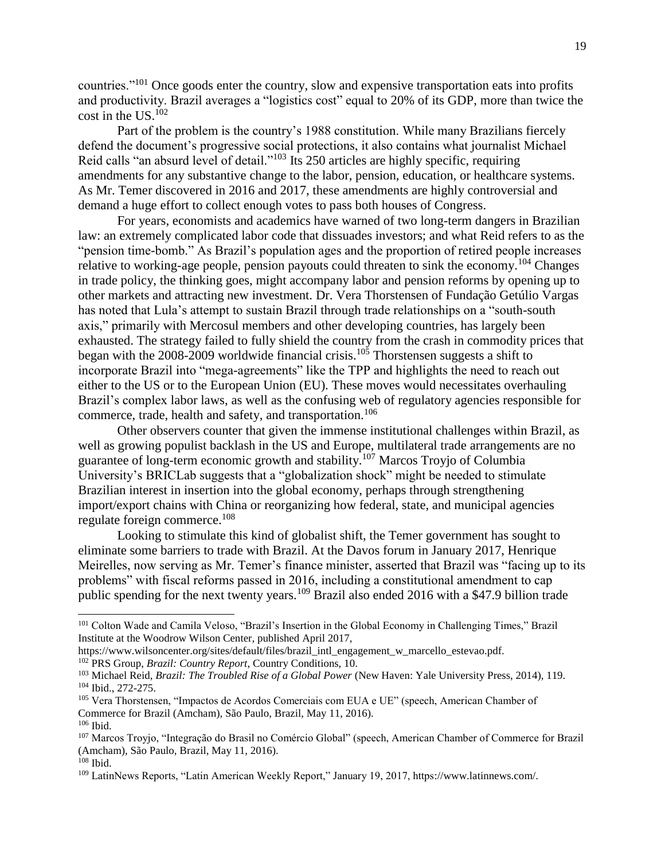countries."<sup>101</sup> Once goods enter the country, slow and expensive transportation eats into profits and productivity. Brazil averages a "logistics cost" equal to 20% of its GDP, more than twice the cost in the US.<sup>102</sup>

Part of the problem is the country's 1988 constitution. While many Brazilians fiercely defend the document's progressive social protections, it also contains what journalist Michael Reid calls "an absurd level of detail."<sup>103</sup> Its 250 articles are highly specific, requiring amendments for any substantive change to the labor, pension, education, or healthcare systems. As Mr. Temer discovered in 2016 and 2017, these amendments are highly controversial and demand a huge effort to collect enough votes to pass both houses of Congress.

For years, economists and academics have warned of two long-term dangers in Brazilian law: an extremely complicated labor code that dissuades investors; and what Reid refers to as the "pension time-bomb." As Brazil's population ages and the proportion of retired people increases relative to working-age people, pension payouts could threaten to sink the economy.<sup>104</sup> Changes in trade policy, the thinking goes, might accompany labor and pension reforms by opening up to other markets and attracting new investment. Dr. Vera Thorstensen of Fundação Getúlio Vargas has noted that Lula's attempt to sustain Brazil through trade relationships on a "south-south axis," primarily with Mercosul members and other developing countries, has largely been exhausted. The strategy failed to fully shield the country from the crash in commodity prices that began with the 2008-2009 worldwide financial crisis.<sup>105</sup> Thorstensen suggests a shift to incorporate Brazil into "mega-agreements" like the TPP and highlights the need to reach out either to the US or to the European Union (EU). These moves would necessitates overhauling Brazil's complex labor laws, as well as the confusing web of regulatory agencies responsible for commerce, trade, health and safety, and transportation.<sup>106</sup>

Other observers counter that given the immense institutional challenges within Brazil, as well as growing populist backlash in the US and Europe, multilateral trade arrangements are no guarantee of long-term economic growth and stability.<sup>107</sup> Marcos Troyjo of Columbia University's BRICLab suggests that a "globalization shock" might be needed to stimulate Brazilian interest in insertion into the global economy, perhaps through strengthening import/export chains with China or reorganizing how federal, state, and municipal agencies regulate foreign commerce.<sup>108</sup>

Looking to stimulate this kind of globalist shift, the Temer government has sought to eliminate some barriers to trade with Brazil. At the Davos forum in January 2017, Henrique Meirelles, now serving as Mr. Temer's finance minister, asserted that Brazil was "facing up to its problems" with fiscal reforms passed in 2016, including a constitutional amendment to cap public spending for the next twenty years.<sup>109</sup> Brazil also ended 2016 with a \$47.9 billion trade

<sup>101</sup> Colton Wade and Camila Veloso, "Brazil's Insertion in the Global Economy in Challenging Times," Brazil Institute at the Woodrow Wilson Center, published April 2017,

https://www.wilsoncenter.org/sites/default/files/brazil\_intl\_engagement\_w\_marcello\_estevao.pdf. <sup>102</sup> PRS Group, *Brazil: Country Report*, Country Conditions, 10.

<sup>&</sup>lt;sup>103</sup> Michael Reid, *Brazil: The Troubled Rise of a Global Power* (New Haven: Yale University Press, 2014), 119. <sup>104</sup> Ibid., 272-275.

<sup>105</sup> Vera Thorstensen, "Impactos de Acordos Comerciais com EUA e UE" (speech, American Chamber of Commerce for Brazil (Amcham), São Paulo, Brazil, May 11, 2016).

 $106$  Ibid.

<sup>107</sup> Marcos Troyjo, "Integração do Brasil no Comércio Global" (speech, American Chamber of Commerce for Brazil (Amcham), São Paulo, Brazil, May 11, 2016).

<sup>108</sup> Ibid.

<sup>109</sup> LatinNews Reports, "Latin American Weekly Report," January 19, 2017, https://www.latinnews.com/.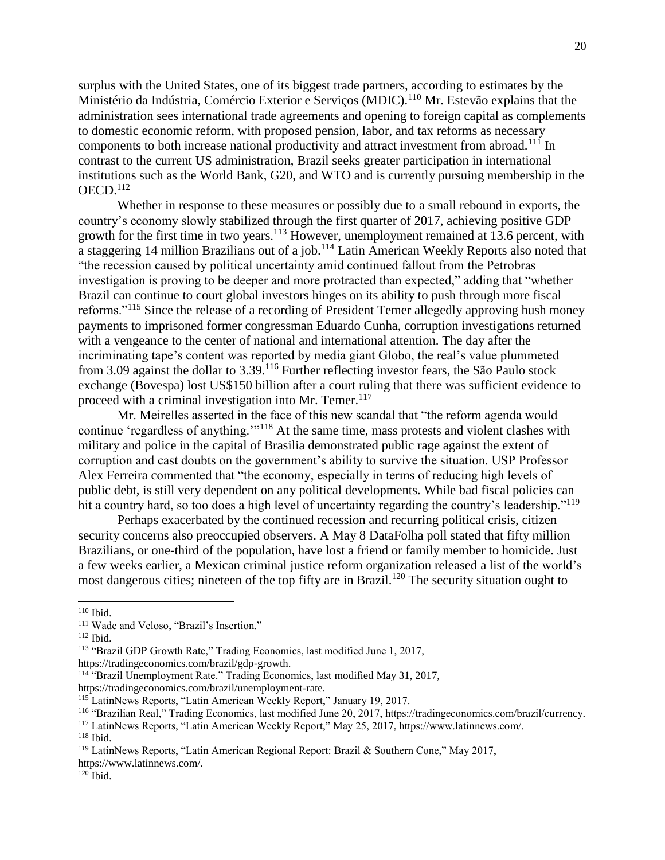surplus with the United States, one of its biggest trade partners, according to estimates by the Ministério da Indústria, Comércio Exterior e Serviços (MDIC).<sup>110</sup> Mr. Estevão explains that the administration sees international trade agreements and opening to foreign capital as complements to domestic economic reform, with proposed pension, labor, and tax reforms as necessary components to both increase national productivity and attract investment from abroad.<sup>111</sup> In contrast to the current US administration, Brazil seeks greater participation in international institutions such as the World Bank, G20, and WTO and is currently pursuing membership in the  $OECD<sub>112</sub>$ 

Whether in response to these measures or possibly due to a small rebound in exports, the country's economy slowly stabilized through the first quarter of 2017, achieving positive GDP growth for the first time in two years.<sup>113</sup> However, unemployment remained at 13.6 percent, with a staggering 14 million Brazilians out of a job.<sup>114</sup> Latin American Weekly Reports also noted that "the recession caused by political uncertainty amid continued fallout from the Petrobras investigation is proving to be deeper and more protracted than expected," adding that "whether Brazil can continue to court global investors hinges on its ability to push through more fiscal reforms."<sup>115</sup> Since the release of a recording of President Temer allegedly approving hush money payments to imprisoned former congressman Eduardo Cunha, corruption investigations returned with a vengeance to the center of national and international attention. The day after the incriminating tape's content was reported by media giant Globo, the real's value plummeted from 3.09 against the dollar to 3.39.<sup>116</sup> Further reflecting investor fears, the São Paulo stock exchange (Bovespa) lost US\$150 billion after a court ruling that there was sufficient evidence to proceed with a criminal investigation into Mr. Temer.<sup>117</sup>

Mr. Meirelles asserted in the face of this new scandal that "the reform agenda would continue 'regardless of anything.'"<sup>118</sup> At the same time, mass protests and violent clashes with military and police in the capital of Brasilia demonstrated public rage against the extent of corruption and cast doubts on the government's ability to survive the situation. USP Professor Alex Ferreira commented that "the economy, especially in terms of reducing high levels of public debt, is still very dependent on any political developments. While bad fiscal policies can hit a country hard, so too does a high level of uncertainty regarding the country's leadership."<sup>119</sup>

Perhaps exacerbated by the continued recession and recurring political crisis, citizen security concerns also preoccupied observers. A May 8 DataFolha poll stated that fifty million Brazilians, or one-third of the population, have lost a friend or family member to homicide. Just a few weeks earlier, a Mexican criminal justice reform organization released a list of the world's most dangerous cities; nineteen of the top fifty are in Brazil.<sup>120</sup> The security situation ought to

https://tradingeconomics.com/brazil/gdp-growth.

<sup>119</sup> LatinNews Reports, "Latin American Regional Report: Brazil & Southern Cone," May 2017, https://www.latinnews.com/.

 $120$  Ibid.

 $110$  Ibid.

<sup>111</sup> Wade and Veloso, "Brazil's Insertion."

<sup>112</sup> Ibid.

<sup>113</sup> "Brazil GDP Growth Rate," Trading Economics, last modified June 1, 2017,

<sup>&</sup>lt;sup>114</sup> "Brazil Unemployment Rate." Trading Economics, last modified May 31, 2017, https://tradingeconomics.com/brazil/unemployment-rate.

<sup>115</sup> LatinNews Reports, "Latin American Weekly Report," January 19, 2017.

<sup>116</sup> "Brazilian Real," Trading Economics, last modified June 20, 2017, https://tradingeconomics.com/brazil/currency.

<sup>117</sup> LatinNews Reports, "Latin American Weekly Report," May 25, 2017, https://www.latinnews.com/.

<sup>118</sup> Ibid.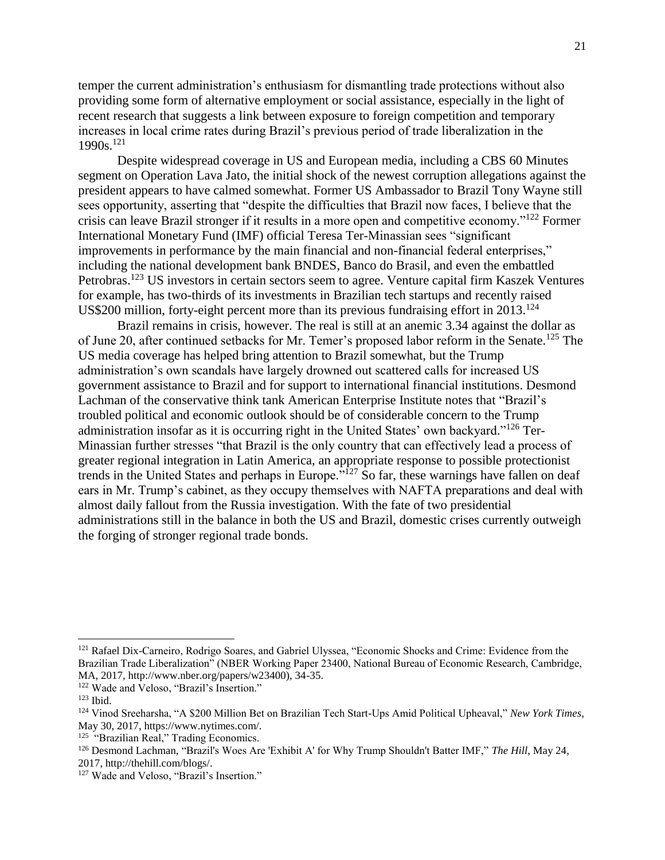temper the current administration's enthusiasm for dismantling trade protections without also providing some form of alternative employment or social assistance, especially in the light of recent research that suggests a link between exposure to foreign competition and temporary increases in local crime rates during Brazil's previous period of trade liberalization in the 1990s.<sup>121</sup>

Despite widespread coverage in US and European media, including a CBS 60 Minutes segment on Operation Lava Jato, the initial shock of the newest corruption allegations against the president appears to have calmed somewhat. Former US Ambassador to Brazil Tony Wayne still sees opportunity, asserting that "despite the difficulties that Brazil now faces, I believe that the crisis can leave Brazil stronger if it results in a more open and competitive economy."<sup>122</sup> Former International Monetary Fund (IMF) official Teresa Ter-Minassian sees "significant improvements in performance by the main financial and non-financial federal enterprises," including the national development bank BNDES, Banco do Brasil, and even the embattled Petrobras.<sup>123</sup> US investors in certain sectors seem to agree. Venture capital firm Kaszek Ventures for example, has two-thirds of its investments in Brazilian tech startups and recently raised US\$200 million, forty-eight percent more than its previous fundraising effort in  $2013$ <sup>124</sup>

Brazil remains in crisis, however. The real is still at an anemic 3.34 against the dollar as of June 20, after continued setbacks for Mr. Temer's proposed labor reform in the Senate.<sup>125</sup> The US media coverage has helped bring attention to Brazil somewhat, but the Trump administration's own scandals have largely drowned out scattered calls for increased US government assistance to Brazil and for support to international financial institutions. Desmond Lachman of the conservative think tank American Enterprise Institute notes that "Brazil's troubled political and economic outlook should be of considerable concern to the Trump administration insofar as it is occurring right in the United States' own backyard."<sup>126</sup> Ter-Minassian further stresses "that Brazil is the only country that can effectively lead a process of greater regional integration in Latin America, an appropriate response to possible protectionist trends in the United States and perhaps in Europe.<sup>51</sup><sup>127</sup> So far, these warnings have fallen on deaf ears in Mr. Trump's cabinet, as they occupy themselves with NAFTA preparations and deal with almost daily fallout from the Russia investigation. With the fate of two presidential administrations still in the balance in both the US and Brazil, domestic crises currently outweigh the forging of stronger regional trade bonds.

<sup>&</sup>lt;sup>121</sup> Rafael Dix-Carneiro, Rodrigo Soares, and Gabriel Ulyssea, "Economic Shocks and Crime: Evidence from the Brazilian Trade Liberalization" (NBER Working Paper 23400, National Bureau of Economic Research, Cambridge, MA, 2017, http://www.nber.org/papers/w23400), 34-35.

<sup>&</sup>lt;sup>122</sup> Wade and Veloso, "Brazil's Insertion."

 $123$  Ibid.

<sup>124</sup> Vinod Sreeharsha, "A \$200 Million Bet on Brazilian Tech Start-Ups Amid Political Upheaval," *New York Times*, May 30, 2017, https://www.nytimes.com/.

<sup>&</sup>lt;sup>125</sup> "Brazilian Real," Trading Economics.

<sup>126</sup> Desmond Lachman, "Brazil's Woes Are 'Exhibit A' for Why Trump Shouldn't Batter IMF," *The Hill*, May 24, 2017, http://thehill.com/blogs/.

<sup>&</sup>lt;sup>127</sup> Wade and Veloso, "Brazil's Insertion."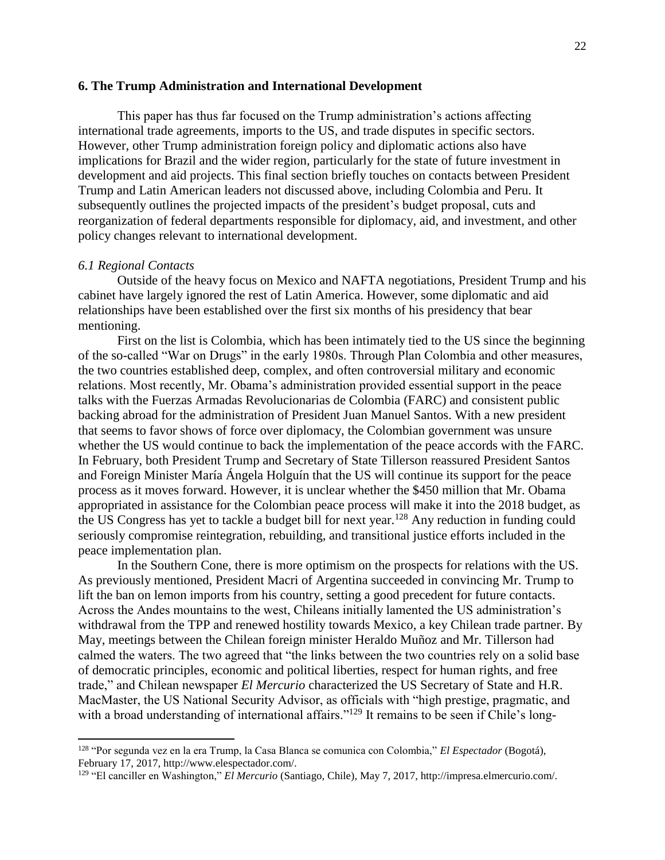#### **6. The Trump Administration and International Development**

This paper has thus far focused on the Trump administration's actions affecting international trade agreements, imports to the US, and trade disputes in specific sectors. However, other Trump administration foreign policy and diplomatic actions also have implications for Brazil and the wider region, particularly for the state of future investment in development and aid projects. This final section briefly touches on contacts between President Trump and Latin American leaders not discussed above, including Colombia and Peru. It subsequently outlines the projected impacts of the president's budget proposal, cuts and reorganization of federal departments responsible for diplomacy, aid, and investment, and other policy changes relevant to international development.

## *6.1 Regional Contacts*

 $\overline{a}$ 

Outside of the heavy focus on Mexico and NAFTA negotiations, President Trump and his cabinet have largely ignored the rest of Latin America. However, some diplomatic and aid relationships have been established over the first six months of his presidency that bear mentioning.

First on the list is Colombia, which has been intimately tied to the US since the beginning of the so-called "War on Drugs" in the early 1980s. Through Plan Colombia and other measures, the two countries established deep, complex, and often controversial military and economic relations. Most recently, Mr. Obama's administration provided essential support in the peace talks with the Fuerzas Armadas Revolucionarias de Colombia (FARC) and consistent public backing abroad for the administration of President Juan Manuel Santos. With a new president that seems to favor shows of force over diplomacy, the Colombian government was unsure whether the US would continue to back the implementation of the peace accords with the FARC. In February, both President Trump and Secretary of State Tillerson reassured President Santos and Foreign Minister María Ángela Holguín that the US will continue its support for the peace process as it moves forward. However, it is unclear whether the \$450 million that Mr. Obama appropriated in assistance for the Colombian peace process will make it into the 2018 budget, as the US Congress has yet to tackle a budget bill for next year.<sup>128</sup> Any reduction in funding could seriously compromise reintegration, rebuilding, and transitional justice efforts included in the peace implementation plan.

In the Southern Cone, there is more optimism on the prospects for relations with the US. As previously mentioned, President Macri of Argentina succeeded in convincing Mr. Trump to lift the ban on lemon imports from his country, setting a good precedent for future contacts. Across the Andes mountains to the west, Chileans initially lamented the US administration's withdrawal from the TPP and renewed hostility towards Mexico, a key Chilean trade partner. By May, meetings between the Chilean foreign minister Heraldo Muñoz and Mr. Tillerson had calmed the waters. The two agreed that "the links between the two countries rely on a solid base of democratic principles, economic and political liberties, respect for human rights, and free trade," and Chilean newspaper *El Mercurio* characterized the US Secretary of State and H.R. MacMaster, the US National Security Advisor, as officials with "high prestige, pragmatic, and with a broad understanding of international affairs."<sup>129</sup> It remains to be seen if Chile's long-

<sup>128</sup> "Por segunda vez en la era Trump, la Casa Blanca se comunica con Colombia," *El Espectador* (Bogotá), February 17, 2017, http://www.elespectador.com/.

<sup>129</sup> "El canciller en Washington," *El Mercurio* (Santiago, Chile), May 7, 2017, http://impresa.elmercurio.com/.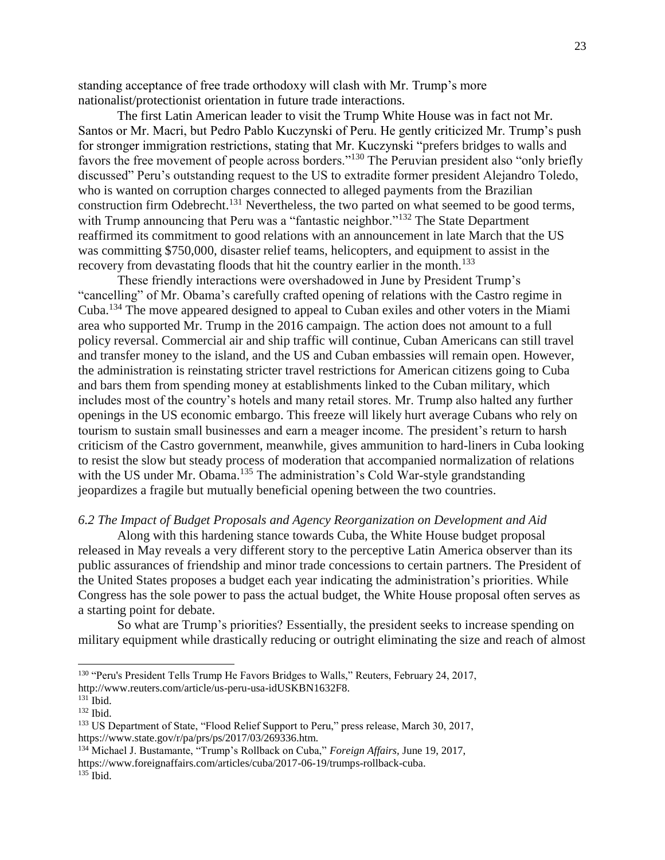standing acceptance of free trade orthodoxy will clash with Mr. Trump's more nationalist/protectionist orientation in future trade interactions.

The first Latin American leader to visit the Trump White House was in fact not Mr. Santos or Mr. Macri, but Pedro Pablo Kuczynski of Peru. He gently criticized Mr. Trump's push for stronger immigration restrictions, stating that Mr. Kuczynski "prefers bridges to walls and favors the free movement of people across borders."<sup>130</sup> The Peruvian president also "only briefly discussed" Peru's outstanding request to the US to extradite former president Alejandro Toledo, who is wanted on corruption charges connected to alleged payments from the Brazilian construction firm Odebrecht.<sup>131</sup> Nevertheless, the two parted on what seemed to be good terms, with Trump announcing that Peru was a "fantastic neighbor."<sup>132</sup> The State Department reaffirmed its commitment to good relations with an announcement in late March that the US was committing \$750,000, disaster relief teams, helicopters, and equipment to assist in the recovery from devastating floods that hit the country earlier in the month.<sup>133</sup>

These friendly interactions were overshadowed in June by President Trump's "cancelling" of Mr. Obama's carefully crafted opening of relations with the Castro regime in Cuba.<sup>134</sup> The move appeared designed to appeal to Cuban exiles and other voters in the Miami area who supported Mr. Trump in the 2016 campaign. The action does not amount to a full policy reversal. Commercial air and ship traffic will continue, Cuban Americans can still travel and transfer money to the island, and the US and Cuban embassies will remain open. However, the administration is reinstating stricter travel restrictions for American citizens going to Cuba and bars them from spending money at establishments linked to the Cuban military, which includes most of the country's hotels and many retail stores. Mr. Trump also halted any further openings in the US economic embargo. This freeze will likely hurt average Cubans who rely on tourism to sustain small businesses and earn a meager income. The president's return to harsh criticism of the Castro government, meanwhile, gives ammunition to hard-liners in Cuba looking to resist the slow but steady process of moderation that accompanied normalization of relations with the US under Mr. Obama.<sup>135</sup> The administration's Cold War-style grandstanding jeopardizes a fragile but mutually beneficial opening between the two countries.

## *6.2 The Impact of Budget Proposals and Agency Reorganization on Development and Aid*

Along with this hardening stance towards Cuba, the White House budget proposal released in May reveals a very different story to the perceptive Latin America observer than its public assurances of friendship and minor trade concessions to certain partners. The President of the United States proposes a budget each year indicating the administration's priorities. While Congress has the sole power to pass the actual budget, the White House proposal often serves as a starting point for debate.

So what are Trump's priorities? Essentially, the president seeks to increase spending on military equipment while drastically reducing or outright eliminating the size and reach of almost

<sup>&</sup>lt;sup>130</sup> "Peru's President Tells Trump He Favors Bridges to Walls," Reuters, February 24, 2017, http://www.reuters.com/article/us-peru-usa-idUSKBN1632F8.

 $131$  Ibid.

<sup>132</sup> Ibid.

<sup>133</sup> US Department of State, "Flood Relief Support to Peru," press release, March 30, 2017, https://www.state.gov/r/pa/prs/ps/2017/03/269336.htm.

<sup>134</sup> Michael J. Bustamante, "Trump's Rollback on Cuba," *Foreign Affairs,* June 19, 2017, https://www.foreignaffairs.com/articles/cuba/2017-06-19/trumps-rollback-cuba.  $135$  Ibid.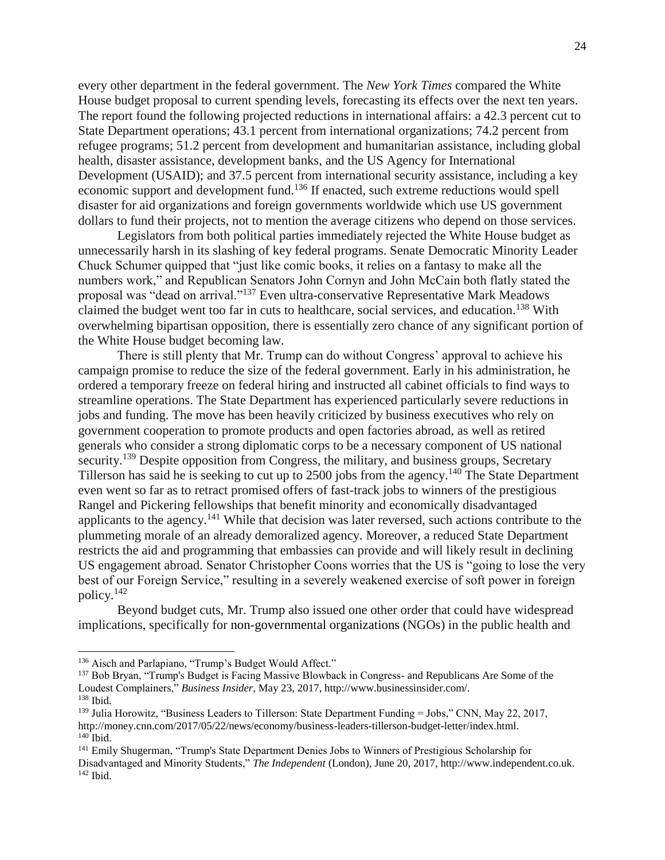every other department in the federal government. The *New York Times* compared the White House budget proposal to current spending levels, forecasting its effects over the next ten years. The report found the following projected reductions in international affairs: a 42.3 percent cut to State Department operations; 43.1 percent from international organizations; 74.2 percent from refugee programs; 51.2 percent from development and humanitarian assistance, including global health, disaster assistance, development banks, and the US Agency for International Development (USAID); and 37.5 percent from international security assistance, including a key economic support and development fund.<sup>136</sup> If enacted, such extreme reductions would spell disaster for aid organizations and foreign governments worldwide which use US government dollars to fund their projects, not to mention the average citizens who depend on those services.

Legislators from both political parties immediately rejected the White House budget as unnecessarily harsh in its slashing of key federal programs. Senate Democratic Minority Leader Chuck Schumer quipped that "just like comic books, it relies on a fantasy to make all the numbers work," and Republican Senators John Cornyn and John McCain both flatly stated the proposal was "dead on arrival."<sup>137</sup> Even ultra-conservative Representative Mark Meadows claimed the budget went too far in cuts to healthcare, social services, and education.<sup>138</sup> With overwhelming bipartisan opposition, there is essentially zero chance of any significant portion of the White House budget becoming law.

There is still plenty that Mr. Trump can do without Congress' approval to achieve his campaign promise to reduce the size of the federal government. Early in his administration, he ordered a temporary freeze on federal hiring and instructed all cabinet officials to find ways to streamline operations. The State Department has experienced particularly severe reductions in jobs and funding. The move has been heavily criticized by business executives who rely on government cooperation to promote products and open factories abroad, as well as retired generals who consider a strong diplomatic corps to be a necessary component of US national security.<sup>139</sup> Despite opposition from Congress, the military, and business groups, Secretary Tillerson has said he is seeking to cut up to 2500 jobs from the agency.<sup>140</sup> The State Department even went so far as to retract promised offers of fast-track jobs to winners of the prestigious Rangel and Pickering fellowships that benefit minority and economically disadvantaged applicants to the agency.<sup>141</sup> While that decision was later reversed, such actions contribute to the plummeting morale of an already demoralized agency. Moreover, a reduced State Department restricts the aid and programming that embassies can provide and will likely result in declining US engagement abroad. Senator Christopher Coons worries that the US is "going to lose the very best of our Foreign Service," resulting in a severely weakened exercise of soft power in foreign policy.<sup>142</sup>

Beyond budget cuts, Mr. Trump also issued one other order that could have widespread implications, specifically for non-governmental organizations (NGOs) in the public health and

<sup>136</sup> Aisch and Parlapiano, "Trump's Budget Would Affect."

<sup>&</sup>lt;sup>137</sup> Bob Bryan, "Trump's Budget is Facing Massive Blowback in Congress- and Republicans Are Some of the Loudest Complainers," *Business Insider*, May 23, 2017, http://www.businessinsider.com/. <sup>138</sup> Ibid.

<sup>&</sup>lt;sup>139</sup> Julia Horowitz, "Business Leaders to Tillerson: State Department Funding = Jobs," CNN, May 22, 2017, http://money.cnn.com/2017/05/22/news/economy/business-leaders-tillerson-budget-letter/index.html.  $140$  Ibid.

<sup>141</sup> Emily Shugerman, "Trump's State Department Denies Jobs to Winners of Prestigious Scholarship for Disadvantaged and Minority Students," *The Independent* (London), June 20, 2017, http://www.independent.co.uk.  $142$  Ibid.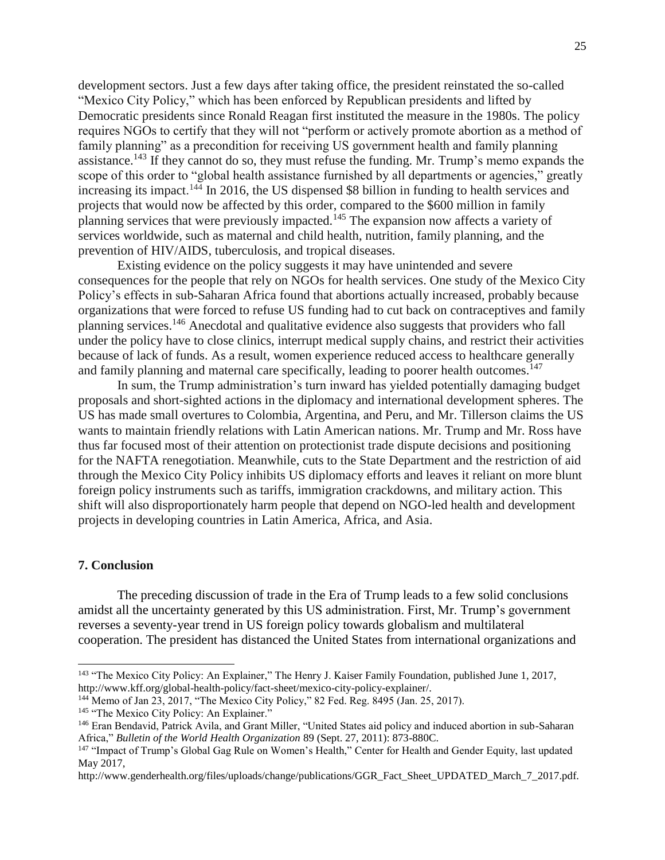development sectors. Just a few days after taking office, the president reinstated the so-called "Mexico City Policy," which has been enforced by Republican presidents and lifted by Democratic presidents since Ronald Reagan first instituted the measure in the 1980s. The policy requires NGOs to certify that they will not "perform or actively promote abortion as a method of family planning" as a precondition for receiving US government health and family planning assistance.<sup>143</sup> If they cannot do so, they must refuse the funding. Mr. Trump's memo expands the scope of this order to "global health assistance furnished by all departments or agencies," greatly increasing its impact. <sup>144</sup> In 2016, the US dispensed \$8 billion in funding to health services and projects that would now be affected by this order, compared to the \$600 million in family planning services that were previously impacted.<sup>145</sup> The expansion now affects a variety of services worldwide, such as maternal and child health, nutrition, family planning, and the prevention of HIV/AIDS, tuberculosis, and tropical diseases.

Existing evidence on the policy suggests it may have unintended and severe consequences for the people that rely on NGOs for health services. One study of the Mexico City Policy's effects in sub-Saharan Africa found that abortions actually increased, probably because organizations that were forced to refuse US funding had to cut back on contraceptives and family planning services.<sup>146</sup> Anecdotal and qualitative evidence also suggests that providers who fall under the policy have to close clinics, interrupt medical supply chains, and restrict their activities because of lack of funds. As a result, women experience reduced access to healthcare generally and family planning and maternal care specifically, leading to poorer health outcomes.<sup>147</sup>

In sum, the Trump administration's turn inward has yielded potentially damaging budget proposals and short-sighted actions in the diplomacy and international development spheres. The US has made small overtures to Colombia, Argentina, and Peru, and Mr. Tillerson claims the US wants to maintain friendly relations with Latin American nations. Mr. Trump and Mr. Ross have thus far focused most of their attention on protectionist trade dispute decisions and positioning for the NAFTA renegotiation. Meanwhile, cuts to the State Department and the restriction of aid through the Mexico City Policy inhibits US diplomacy efforts and leaves it reliant on more blunt foreign policy instruments such as tariffs, immigration crackdowns, and military action. This shift will also disproportionately harm people that depend on NGO-led health and development projects in developing countries in Latin America, Africa, and Asia.

#### **7. Conclusion**

 $\overline{a}$ 

The preceding discussion of trade in the Era of Trump leads to a few solid conclusions amidst all the uncertainty generated by this US administration. First, Mr. Trump's government reverses a seventy-year trend in US foreign policy towards globalism and multilateral cooperation. The president has distanced the United States from international organizations and

<sup>&</sup>lt;sup>143</sup> "The Mexico City Policy: An Explainer," The Henry J. Kaiser Family Foundation, published June 1, 2017, http://www.kff.org/global-health-policy/fact-sheet/mexico-city-policy-explainer/.

<sup>&</sup>lt;sup>144</sup> Memo of Jan 23, 2017, "The Mexico City Policy," 82 Fed. Reg. 8495 (Jan. 25, 2017).

<sup>&</sup>lt;sup>145</sup> "The Mexico City Policy: An Explainer."

<sup>146</sup> Eran Bendavid, Patrick Avila, and Grant Miller, "United States aid policy and induced abortion in sub-Saharan Africa," *Bulletin of the World Health Organization* 89 (Sept. 27, 2011): 873-880C.

<sup>&</sup>lt;sup>147</sup> "Impact of Trump's Global Gag Rule on Women's Health," Center for Health and Gender Equity, last updated May 2017,

http://www.genderhealth.org/files/uploads/change/publications/GGR\_Fact\_Sheet\_UPDATED\_March\_7\_2017.pdf.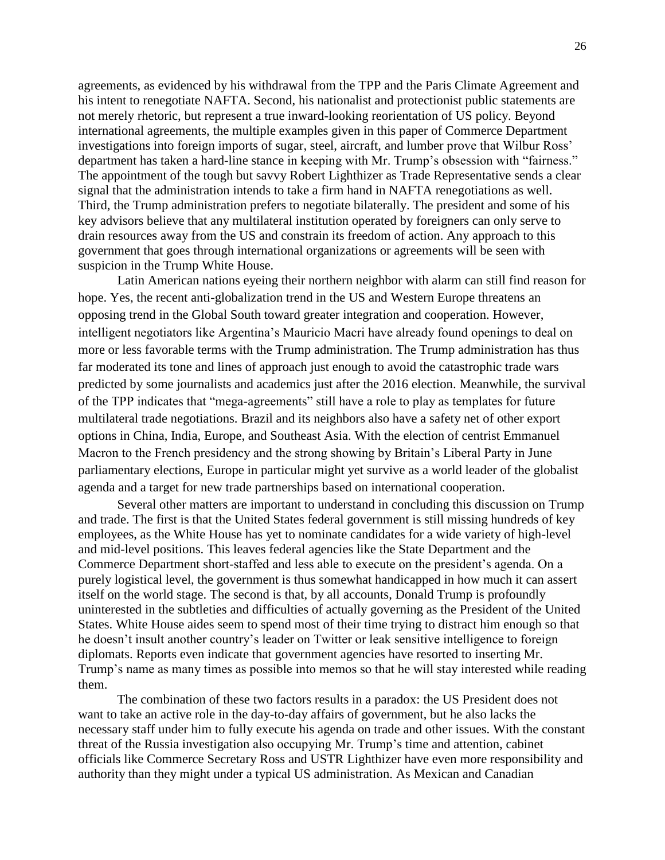agreements, as evidenced by his withdrawal from the TPP and the Paris Climate Agreement and his intent to renegotiate NAFTA. Second, his nationalist and protectionist public statements are not merely rhetoric, but represent a true inward-looking reorientation of US policy. Beyond international agreements, the multiple examples given in this paper of Commerce Department investigations into foreign imports of sugar, steel, aircraft, and lumber prove that Wilbur Ross' department has taken a hard-line stance in keeping with Mr. Trump's obsession with "fairness." The appointment of the tough but savvy Robert Lighthizer as Trade Representative sends a clear signal that the administration intends to take a firm hand in NAFTA renegotiations as well. Third, the Trump administration prefers to negotiate bilaterally. The president and some of his key advisors believe that any multilateral institution operated by foreigners can only serve to drain resources away from the US and constrain its freedom of action. Any approach to this government that goes through international organizations or agreements will be seen with suspicion in the Trump White House.

Latin American nations eyeing their northern neighbor with alarm can still find reason for hope. Yes, the recent anti-globalization trend in the US and Western Europe threatens an opposing trend in the Global South toward greater integration and cooperation. However, intelligent negotiators like Argentina's Mauricio Macri have already found openings to deal on more or less favorable terms with the Trump administration. The Trump administration has thus far moderated its tone and lines of approach just enough to avoid the catastrophic trade wars predicted by some journalists and academics just after the 2016 election. Meanwhile, the survival of the TPP indicates that "mega-agreements" still have a role to play as templates for future multilateral trade negotiations. Brazil and its neighbors also have a safety net of other export options in China, India, Europe, and Southeast Asia. With the election of centrist Emmanuel Macron to the French presidency and the strong showing by Britain's Liberal Party in June parliamentary elections, Europe in particular might yet survive as a world leader of the globalist agenda and a target for new trade partnerships based on international cooperation.

Several other matters are important to understand in concluding this discussion on Trump and trade. The first is that the United States federal government is still missing hundreds of key employees, as the White House has yet to nominate candidates for a wide variety of high-level and mid-level positions. This leaves federal agencies like the State Department and the Commerce Department short-staffed and less able to execute on the president's agenda. On a purely logistical level, the government is thus somewhat handicapped in how much it can assert itself on the world stage. The second is that, by all accounts, Donald Trump is profoundly uninterested in the subtleties and difficulties of actually governing as the President of the United States. White House aides seem to spend most of their time trying to distract him enough so that he doesn't insult another country's leader on Twitter or leak sensitive intelligence to foreign diplomats. Reports even indicate that government agencies have resorted to inserting Mr. Trump's name as many times as possible into memos so that he will stay interested while reading them.

The combination of these two factors results in a paradox: the US President does not want to take an active role in the day-to-day affairs of government, but he also lacks the necessary staff under him to fully execute his agenda on trade and other issues. With the constant threat of the Russia investigation also occupying Mr. Trump's time and attention, cabinet officials like Commerce Secretary Ross and USTR Lighthizer have even more responsibility and authority than they might under a typical US administration. As Mexican and Canadian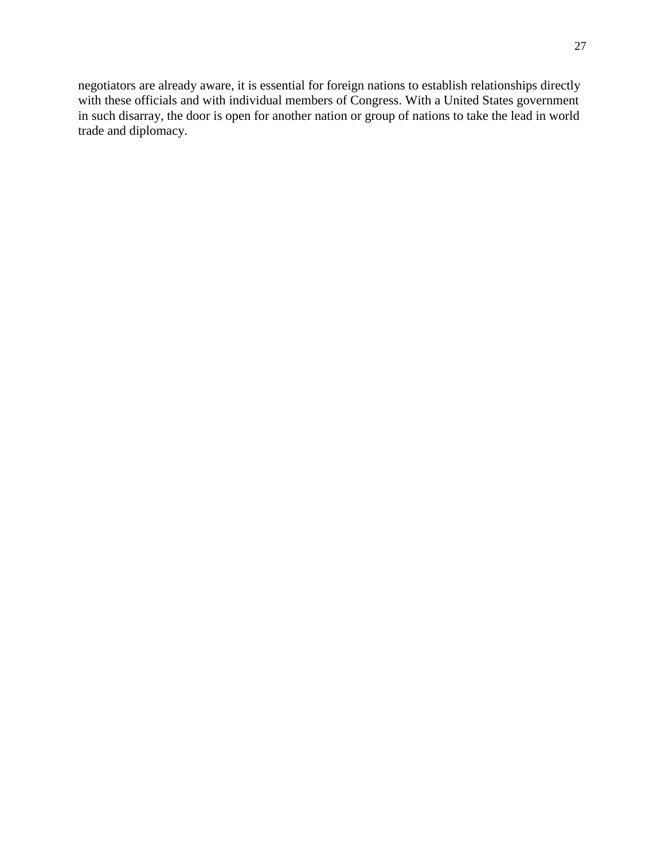negotiators are already aware, it is essential for foreign nations to establish relationships directly with these officials and with individual members of Congress. With a United States government in such disarray, the door is open for another nation or group of nations to take the lead in world trade and diplomacy.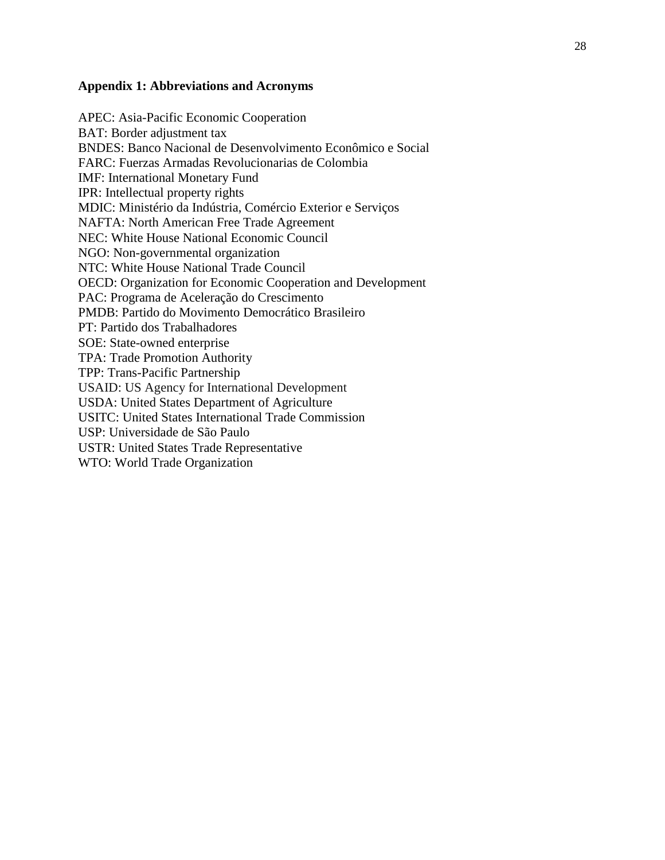## **Appendix 1: Abbreviations and Acronyms**

APEC: Asia-Pacific Economic Cooperation BAT: Border adjustment tax BNDES: Banco Nacional de Desenvolvimento Econômico e Social FARC: Fuerzas Armadas Revolucionarias de Colombia IMF: International Monetary Fund IPR: Intellectual property rights MDIC: Ministério da Indústria, Comércio Exterior e Serviços NAFTA: North American Free Trade Agreement NEC: White House National Economic Council NGO: Non-governmental organization NTC: White House National Trade Council OECD: Organization for Economic Cooperation and Development PAC: Programa de Aceleração do Crescimento PMDB: Partido do Movimento Democrático Brasileiro PT: Partido dos Trabalhadores SOE: State-owned enterprise TPA: Trade Promotion Authority TPP: Trans-Pacific Partnership USAID: US Agency for International Development USDA: United States Department of Agriculture USITC: United States International Trade Commission USP: Universidade de São Paulo USTR: United States Trade Representative WTO: World Trade Organization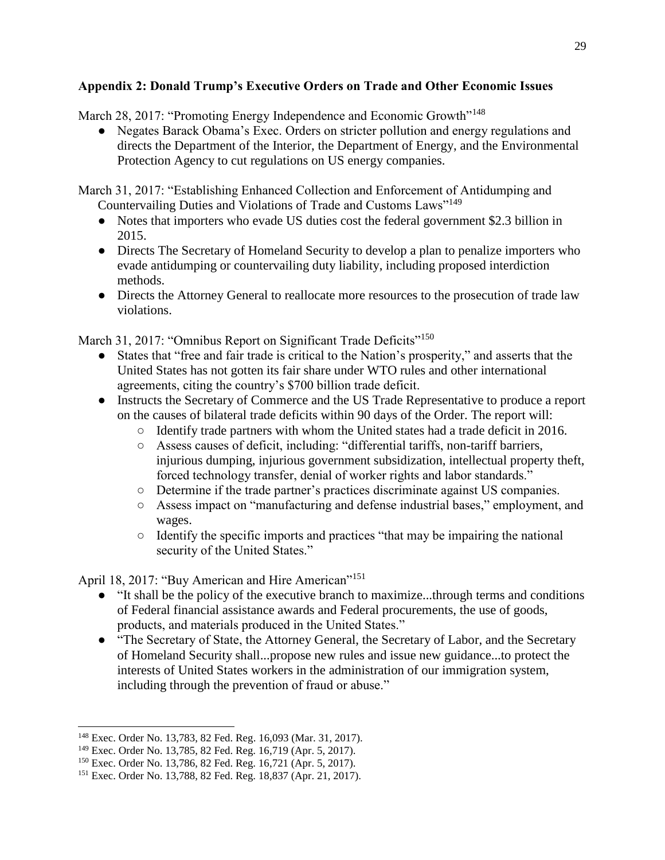# **Appendix 2: Donald Trump's Executive Orders on Trade and Other Economic Issues**

March 28, 2017: "Promoting Energy Independence and Economic Growth"<sup>148</sup>

● Negates Barack Obama's Exec. Orders on stricter pollution and energy regulations and directs the Department of the Interior, the Department of Energy, and the Environmental Protection Agency to cut regulations on US energy companies.

March 31, 2017: "Establishing Enhanced Collection and Enforcement of Antidumping and Countervailing Duties and Violations of Trade and Customs Laws"<sup>149</sup>

- Notes that importers who evade US duties cost the federal government \$2.3 billion in 2015.
- Directs The Secretary of Homeland Security to develop a plan to penalize importers who evade antidumping or countervailing duty liability, including proposed interdiction methods.
- Directs the Attorney General to reallocate more resources to the prosecution of trade law violations.

March 31, 2017: "Omnibus Report on Significant Trade Deficits"<sup>150</sup>

- States that "free and fair trade is critical to the Nation's prosperity," and asserts that the United States has not gotten its fair share under WTO rules and other international agreements, citing the country's \$700 billion trade deficit.
- Instructs the Secretary of Commerce and the US Trade Representative to produce a report on the causes of bilateral trade deficits within 90 days of the Order. The report will:
	- Identify trade partners with whom the United states had a trade deficit in 2016.
	- Assess causes of deficit, including: "differential tariffs, non-tariff barriers, injurious dumping, injurious government subsidization, intellectual property theft, forced technology transfer, denial of worker rights and labor standards."
	- Determine if the trade partner's practices discriminate against US companies.
	- Assess impact on "manufacturing and defense industrial bases," employment, and wages.
	- Identify the specific imports and practices "that may be impairing the national security of the United States."

April 18, 2017: "Buy American and Hire American"<sup>151</sup>

- "It shall be the policy of the executive branch to maximize...through terms and conditions of Federal financial assistance awards and Federal procurements, the use of goods, products, and materials produced in the United States."
- "The Secretary of State, the Attorney General, the Secretary of Labor, and the Secretary of Homeland Security shall...propose new rules and issue new guidance...to protect the interests of United States workers in the administration of our immigration system, including through the prevention of fraud or abuse."

<sup>148</sup> Exec. Order No. 13,783, 82 Fed. Reg. 16,093 (Mar. 31, 2017).

<sup>149</sup> Exec. Order No. 13,785, 82 Fed. Reg. 16,719 (Apr. 5, 2017).

<sup>150</sup> Exec. Order No. 13,786, 82 Fed. Reg. 16,721 (Apr. 5, 2017).

<sup>151</sup> Exec. Order No. 13,788, 82 Fed. Reg. 18,837 (Apr. 21, 2017).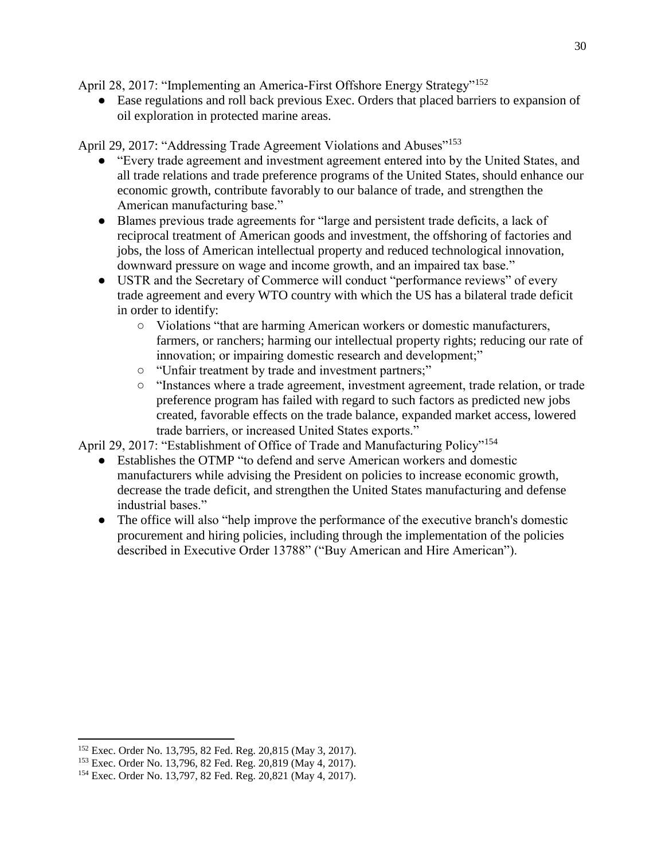April 28, 2017: "Implementing an America-First Offshore Energy Strategy"<sup>152</sup>

● Ease regulations and roll back previous Exec. Orders that placed barriers to expansion of oil exploration in protected marine areas.

April 29, 2017: "Addressing Trade Agreement Violations and Abuses"<sup>153</sup>

- "Every trade agreement and investment agreement entered into by the United States, and all trade relations and trade preference programs of the United States, should enhance our economic growth, contribute favorably to our balance of trade, and strengthen the American manufacturing base."
- Blames previous trade agreements for "large and persistent trade deficits, a lack of reciprocal treatment of American goods and investment, the offshoring of factories and jobs, the loss of American intellectual property and reduced technological innovation, downward pressure on wage and income growth, and an impaired tax base."
- USTR and the Secretary of Commerce will conduct "performance reviews" of every trade agreement and every WTO country with which the US has a bilateral trade deficit in order to identify:
	- Violations "that are harming American workers or domestic manufacturers, farmers, or ranchers; harming our intellectual property rights; reducing our rate of innovation; or impairing domestic research and development;"
	- "Unfair treatment by trade and investment partners;"
	- "Instances where a trade agreement, investment agreement, trade relation, or trade preference program has failed with regard to such factors as predicted new jobs created, favorable effects on the trade balance, expanded market access, lowered trade barriers, or increased United States exports."

April 29, 2017: "Establishment of Office of Trade and Manufacturing Policy"<sup>154</sup>

- Establishes the OTMP "to defend and serve American workers and domestic manufacturers while advising the President on policies to increase economic growth, decrease the trade deficit, and strengthen the United States manufacturing and defense industrial bases."
- The office will also "help improve the performance of the executive branch's domestic procurement and hiring policies, including through the implementation of the policies described in Executive Order 13788" ("Buy American and Hire American").

<sup>152</sup> Exec. Order No. 13,795, 82 Fed. Reg. 20,815 (May 3, 2017).

<sup>153</sup> Exec. Order No. 13,796, 82 Fed. Reg. 20,819 (May 4, 2017).

<sup>154</sup> Exec. Order No. 13,797, 82 Fed. Reg. 20,821 (May 4, 2017).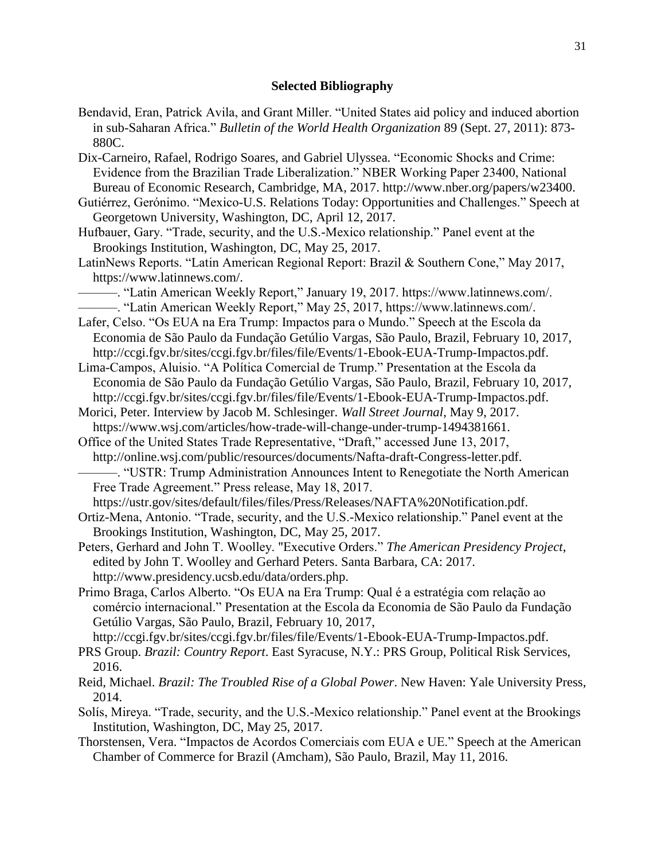#### **Selected Bibliography**

- Bendavid, Eran, Patrick Avila, and Grant Miller. "United States aid policy and induced abortion in sub-Saharan Africa." *Bulletin of the World Health Organization* 89 (Sept. 27, 2011): 873- 880C.
- Dix-Carneiro, Rafael, Rodrigo Soares, and Gabriel Ulyssea. "Economic Shocks and Crime: Evidence from the Brazilian Trade Liberalization." NBER Working Paper 23400, National Bureau of Economic Research, Cambridge, MA, 2017. http://www.nber.org/papers/w23400.
- Gutiérrez, Gerónimo. "Mexico-U.S. Relations Today: Opportunities and Challenges." Speech at Georgetown University, Washington, DC, April 12, 2017.
- Hufbauer, Gary. "Trade, security, and the U.S.-Mexico relationship." Panel event at the Brookings Institution, Washington, DC, May 25, 2017.
- LatinNews Reports. "Latin American Regional Report: Brazil & Southern Cone," May 2017, https://www.latinnews.com/.
- ———. "Latin American Weekly Report," January 19, 2017. https://www.latinnews.com/. ———. "Latin American Weekly Report," May 25, 2017, https://www.latinnews.com/.
- Lafer, Celso. "Os EUA na Era Trump: Impactos para o Mundo." Speech at the Escola da Economia de São Paulo da Fundação Getúlio Vargas, São Paulo, Brazil, February 10, 2017, http://ccgi.fgv.br/sites/ccgi.fgv.br/files/file/Events/1-Ebook-EUA-Trump-Impactos.pdf.
- Lima-Campos, Aluisio. "A Política Comercial de Trump." Presentation at the Escola da Economia de São Paulo da Fundação Getúlio Vargas, São Paulo, Brazil, February 10, 2017, http://ccgi.fgv.br/sites/ccgi.fgv.br/files/file/Events/1-Ebook-EUA-Trump-Impactos.pdf.
- Morici, Peter. Interview by Jacob M. Schlesinger. *Wall Street Journal*, May 9, 2017. https://www.wsj.com/articles/how-trade-will-change-under-trump-1494381661.
- Office of the United States Trade Representative, "Draft," accessed June 13, 2017, http://online.wsj.com/public/resources/documents/Nafta-draft-Congress-letter.pdf.
- ———. "USTR: Trump Administration Announces Intent to Renegotiate the North American Free Trade Agreement." Press release, May 18, 2017.
- https://ustr.gov/sites/default/files/files/Press/Releases/NAFTA%20Notification.pdf.
- Ortiz-Mena, Antonio. "Trade, security, and the U.S.-Mexico relationship." Panel event at the Brookings Institution, Washington, DC, May 25, 2017.
- Peters, Gerhard and John T. Woolley. "Executive Orders." *The American Presidency Project*, edited by John T. Woolley and Gerhard Peters. Santa Barbara, CA: 2017. http://www.presidency.ucsb.edu/data/orders.php.
- Primo Braga, Carlos Alberto. "Os EUA na Era Trump: Qual é a estratégia com relação ao comércio internacional." Presentation at the Escola da Economia de São Paulo da Fundação Getúlio Vargas, São Paulo, Brazil, February 10, 2017,
	- http://ccgi.fgv.br/sites/ccgi.fgv.br/files/file/Events/1-Ebook-EUA-Trump-Impactos.pdf.
- PRS Group. *Brazil: Country Report*. East Syracuse, N.Y.: PRS Group, Political Risk Services, 2016.
- Reid, Michael. *Brazil: The Troubled Rise of a Global Power*. New Haven: Yale University Press, 2014.
- Solís, Mireya. "Trade, security, and the U.S.-Mexico relationship." Panel event at the Brookings Institution, Washington, DC, May 25, 2017.
- Thorstensen, Vera. "Impactos de Acordos Comerciais com EUA e UE." Speech at the American Chamber of Commerce for Brazil (Amcham), São Paulo, Brazil, May 11, 2016.